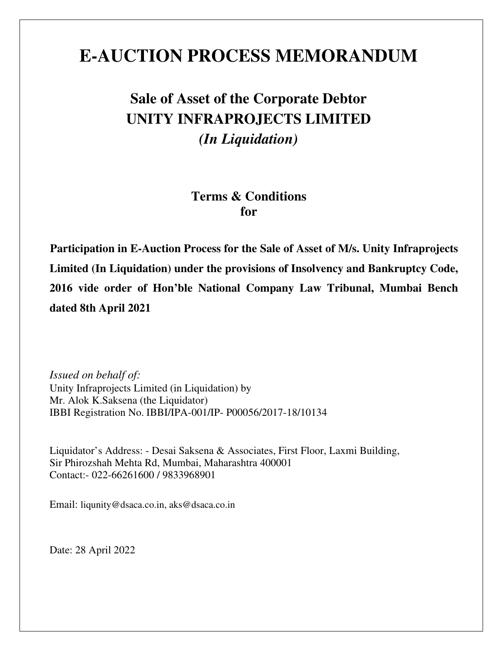# **E-AUCTION PROCESS MEMORANDUM**

# **Sale of Asset of the Corporate Debtor UNITY INFRAPROJECTS LIMITED**  *(In Liquidation)*

## **Terms & Conditions for**

**Participation in E-Auction Process for the Sale of Asset of M/s. Unity Infraprojects Limited (In Liquidation) under the provisions of Insolvency and Bankruptcy Code, 2016 vide order of Hon'ble National Company Law Tribunal, Mumbai Bench dated 8th April 2021** 

*Issued on behalf of:*  Unity Infraprojects Limited (in Liquidation) by Mr. Alok K.Saksena (the Liquidator) IBBI Registration No. IBBI/IPA-001/IP- P00056/2017-18/10134

Liquidator's Address: - Desai Saksena & Associates, First Floor, Laxmi Building, Sir Phirozshah Mehta Rd, Mumbai, Maharashtra 400001 Contact:- 022-66261600 / 9833968901

Email: liqunity@dsaca.co.in, aks@dsaca.co.in

Date: 28 April 2022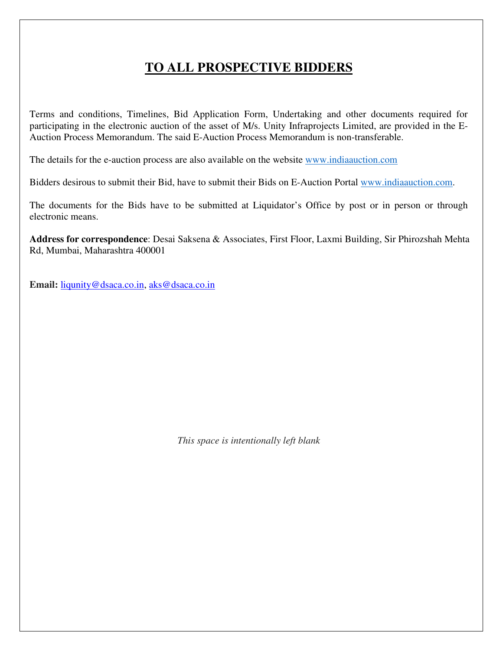## **TO ALL PROSPECTIVE BIDDERS**

Terms and conditions, Timelines, Bid Application Form, Undertaking and other documents required for participating in the electronic auction of the asset of M/s. Unity Infraprojects Limited, are provided in the E-Auction Process Memorandum. The said E-Auction Process Memorandum is non-transferable.

The details for the e-auction process are also available on the website www.indiaauction.com

Bidders desirous to submit their Bid, have to submit their Bids on E-Auction Portal www.indiaauction.com.

The documents for the Bids have to be submitted at Liquidator's Office by post or in person or through electronic means.

**Address for correspondence**: Desai Saksena & Associates, First Floor, Laxmi Building, Sir Phirozshah Mehta Rd, Mumbai, Maharashtra 400001

**Email:** liqunity@dsaca.co.in, aks@dsaca.co.in

*This space is intentionally left blank*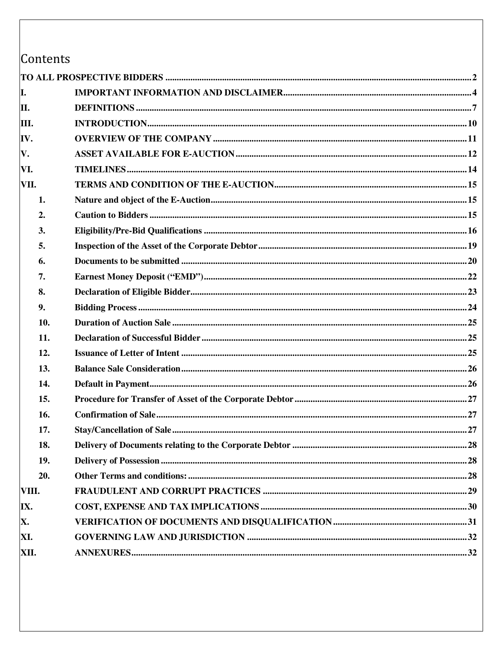Contents

| Ι.    |  |
|-------|--|
| II.   |  |
| III.  |  |
| IV.   |  |
| V.    |  |
| VI.   |  |
| VII.  |  |
| 1.    |  |
| 2.    |  |
| 3.    |  |
| 5.    |  |
| 6.    |  |
| 7.    |  |
| 8.    |  |
| 9.    |  |
| 10.   |  |
| 11.   |  |
| 12.   |  |
| 13.   |  |
| 14.   |  |
| 15.   |  |
| 16.   |  |
| 17.   |  |
| 18.   |  |
| 19.   |  |
| 20.   |  |
| VIII. |  |
| IX.   |  |
| X.    |  |
| XI.   |  |
| XII.  |  |
|       |  |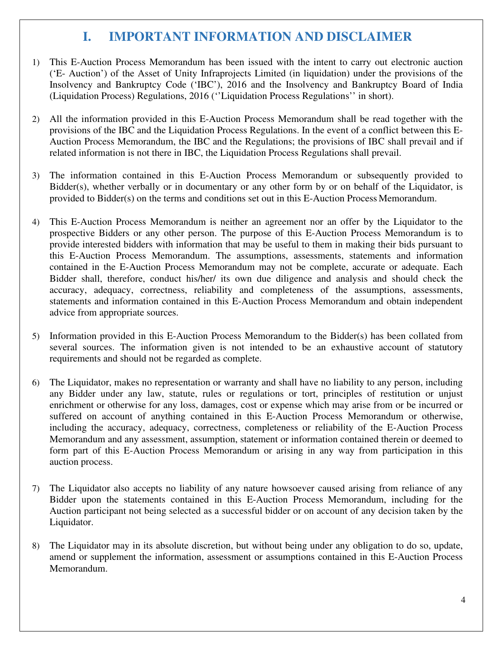## **I. IMPORTANT INFORMATION AND DISCLAIMER**

- 1) This E-Auction Process Memorandum has been issued with the intent to carry out electronic auction ('E- Auction') of the Asset of Unity Infraprojects Limited (in liquidation) under the provisions of the Insolvency and Bankruptcy Code ('IBC'), 2016 and the Insolvency and Bankruptcy Board of India (Liquidation Process) Regulations, 2016 (''Liquidation Process Regulations'' in short).
- 2) All the information provided in this E-Auction Process Memorandum shall be read together with the provisions of the IBC and the Liquidation Process Regulations. In the event of a conflict between this E-Auction Process Memorandum, the IBC and the Regulations; the provisions of IBC shall prevail and if related information is not there in IBC, the Liquidation Process Regulations shall prevail.
- 3) The information contained in this E-Auction Process Memorandum or subsequently provided to Bidder(s), whether verbally or in documentary or any other form by or on behalf of the Liquidator, is provided to Bidder(s) on the terms and conditions set out in this E-Auction Process Memorandum.
- 4) This E-Auction Process Memorandum is neither an agreement nor an offer by the Liquidator to the prospective Bidders or any other person. The purpose of this E-Auction Process Memorandum is to provide interested bidders with information that may be useful to them in making their bids pursuant to this E-Auction Process Memorandum. The assumptions, assessments, statements and information contained in the E-Auction Process Memorandum may not be complete, accurate or adequate. Each Bidder shall, therefore, conduct his/her/ its own due diligence and analysis and should check the accuracy, adequacy, correctness, reliability and completeness of the assumptions, assessments, statements and information contained in this E-Auction Process Memorandum and obtain independent advice from appropriate sources.
- 5) Information provided in this E-Auction Process Memorandum to the Bidder(s) has been collated from several sources. The information given is not intended to be an exhaustive account of statutory requirements and should not be regarded as complete.
- 6) The Liquidator, makes no representation or warranty and shall have no liability to any person, including any Bidder under any law, statute, rules or regulations or tort, principles of restitution or unjust enrichment or otherwise for any loss, damages, cost or expense which may arise from or be incurred or suffered on account of anything contained in this E-Auction Process Memorandum or otherwise, including the accuracy, adequacy, correctness, completeness or reliability of the E-Auction Process Memorandum and any assessment, assumption, statement or information contained therein or deemed to form part of this E-Auction Process Memorandum or arising in any way from participation in this auction process.
- 7) The Liquidator also accepts no liability of any nature howsoever caused arising from reliance of any Bidder upon the statements contained in this E-Auction Process Memorandum, including for the Auction participant not being selected as a successful bidder or on account of any decision taken by the Liquidator.
- 8) The Liquidator may in its absolute discretion, but without being under any obligation to do so, update, amend or supplement the information, assessment or assumptions contained in this E-Auction Process Memorandum.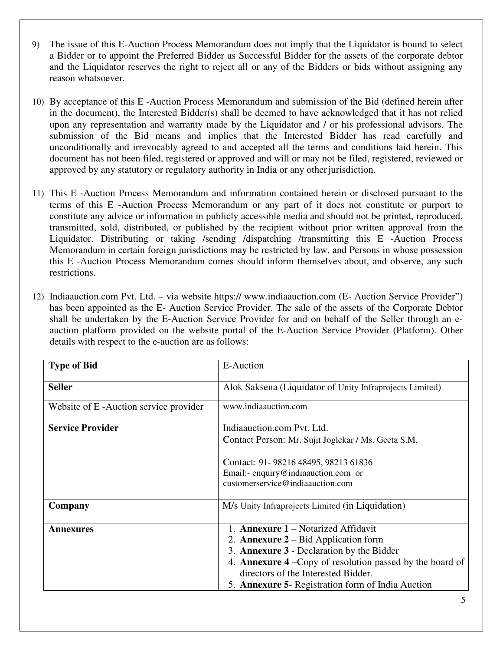- 9) The issue of this E-Auction Process Memorandum does not imply that the Liquidator is bound to select a Bidder or to appoint the Preferred Bidder as Successful Bidder for the assets of the corporate debtor and the Liquidator reserves the right to reject all or any of the Bidders or bids without assigning any reason whatsoever.
- 10) By acceptance of this E -Auction Process Memorandum and submission of the Bid (defined herein after in the document), the Interested Bidder(s) shall be deemed to have acknowledged that it has not relied upon any representation and warranty made by the Liquidator and / or his professional advisors. The submission of the Bid means and implies that the Interested Bidder has read carefully and unconditionally and irrevocably agreed to and accepted all the terms and conditions laid herein. This document has not been filed, registered or approved and will or may not be filed, registered, reviewed or approved by any statutory or regulatory authority in India or any other jurisdiction.
- 11) This E -Auction Process Memorandum and information contained herein or disclosed pursuant to the terms of this E -Auction Process Memorandum or any part of it does not constitute or purport to constitute any advice or information in publicly accessible media and should not be printed, reproduced, transmitted, sold, distributed, or published by the recipient without prior written approval from the Liquidator. Distributing or taking /sending /dispatching /transmitting this E -Auction Process Memorandum in certain foreign jurisdictions may be restricted by law, and Persons in whose possession this E -Auction Process Memorandum comes should inform themselves about, and observe, any such restrictions.
- 12) Indiaauction.com Pvt. Ltd. via website https:// www.indiaauction.com (E- Auction Service Provider") has been appointed as the E- Auction Service Provider. The sale of the assets of the Corporate Debtor shall be undertaken by the E-Auction Service Provider for and on behalf of the Seller through an eauction platform provided on the website portal of the E-Auction Service Provider (Platform). Other details with respect to the e-auction are as follows:

| <b>Type of Bid</b>                    | E-Auction                                                        |
|---------------------------------------|------------------------------------------------------------------|
| <b>Seller</b>                         | Alok Saksena (Liquidator of Unity Infraprojects Limited)         |
| Website of E-Auction service provider | www.indiaauction.com                                             |
| <b>Service Provider</b>               | Indiaauction.com Pvt. Ltd.                                       |
|                                       | Contact Person: Mr. Sujit Joglekar / Ms. Geeta S.M.              |
|                                       | Contact: 91-98216 48495, 98213 61836                             |
|                                       | Email:- enquiry@indiaauction.com or                              |
|                                       | customerservice@indiaauction.com                                 |
| Company                               | M/s Unity Infraprojects Limited (in Liquidation)                 |
| <b>Annexures</b>                      | 1. <b>Annexure 1</b> – Notarized Affidavit                       |
|                                       | 2. <b>Annexure 2</b> – Bid Application form                      |
|                                       | 3. Annexure 3 - Declaration by the Bidder                        |
|                                       | 4. <b>Annexure 4</b> – Copy of resolution passed by the board of |
|                                       | directors of the Interested Bidder.                              |
|                                       | 5. Annexure 5- Registration form of India Auction                |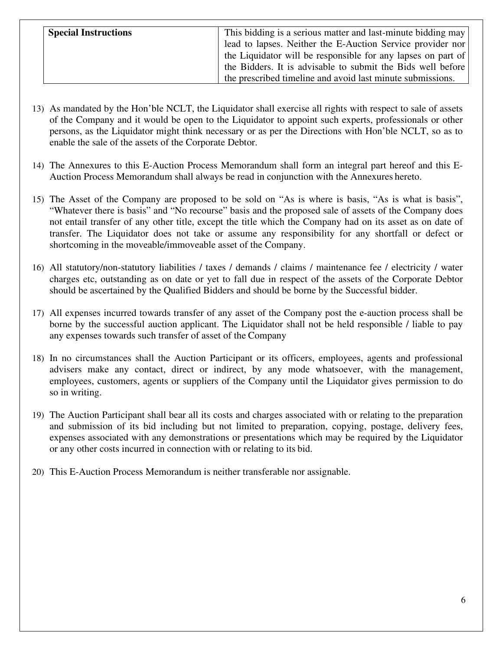| <b>Special Instructions</b> | This bidding is a serious matter and last-minute bidding may<br>lead to lapses. Neither the E-Auction Service provider nor<br>the Liquidator will be responsible for any lapses on part of |
|-----------------------------|--------------------------------------------------------------------------------------------------------------------------------------------------------------------------------------------|
|                             | the Bidders. It is advisable to submit the Bids well before<br>the prescribed timeline and avoid last minute submissions.                                                                  |

- 13) As mandated by the Hon'ble NCLT, the Liquidator shall exercise all rights with respect to sale of assets of the Company and it would be open to the Liquidator to appoint such experts, professionals or other persons, as the Liquidator might think necessary or as per the Directions with Hon'ble NCLT, so as to enable the sale of the assets of the Corporate Debtor.
- 14) The Annexures to this E-Auction Process Memorandum shall form an integral part hereof and this E-Auction Process Memorandum shall always be read in conjunction with the Annexures hereto.
- 15) The Asset of the Company are proposed to be sold on "As is where is basis, "As is what is basis", "Whatever there is basis" and "No recourse" basis and the proposed sale of assets of the Company does not entail transfer of any other title, except the title which the Company had on its asset as on date of transfer. The Liquidator does not take or assume any responsibility for any shortfall or defect or shortcoming in the moveable/immoveable asset of the Company.
- 16) All statutory/non-statutory liabilities / taxes / demands / claims / maintenance fee / electricity / water charges etc, outstanding as on date or yet to fall due in respect of the assets of the Corporate Debtor should be ascertained by the Qualified Bidders and should be borne by the Successful bidder.
- 17) All expenses incurred towards transfer of any asset of the Company post the e-auction process shall be borne by the successful auction applicant. The Liquidator shall not be held responsible / liable to pay any expenses towards such transfer of asset of the Company
- 18) In no circumstances shall the Auction Participant or its officers, employees, agents and professional advisers make any contact, direct or indirect, by any mode whatsoever, with the management, employees, customers, agents or suppliers of the Company until the Liquidator gives permission to do so in writing.
- 19) The Auction Participant shall bear all its costs and charges associated with or relating to the preparation and submission of its bid including but not limited to preparation, copying, postage, delivery fees, expenses associated with any demonstrations or presentations which may be required by the Liquidator or any other costs incurred in connection with or relating to its bid.
- 20) This E-Auction Process Memorandum is neither transferable nor assignable.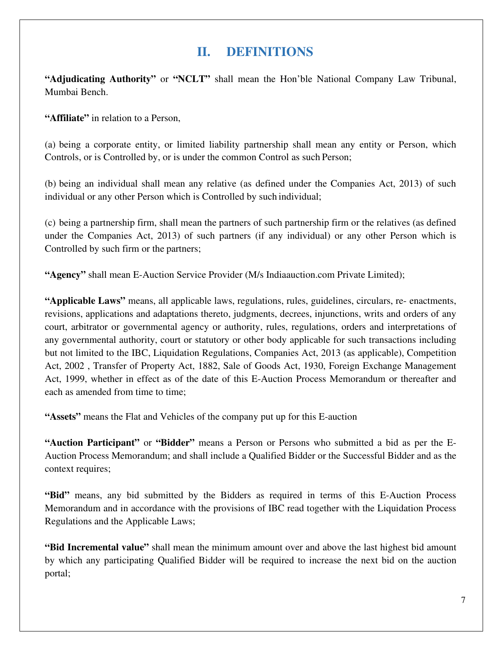## **II. DEFINITIONS**

**"Adjudicating Authority"** or **"NCLT"** shall mean the Hon'ble National Company Law Tribunal, Mumbai Bench.

**"Affiliate"** in relation to a Person,

(a) being a corporate entity, or limited liability partnership shall mean any entity or Person, which Controls, or is Controlled by, or is under the common Control as such Person;

(b) being an individual shall mean any relative (as defined under the Companies Act, 2013) of such individual or any other Person which is Controlled by such individual;

(c) being a partnership firm, shall mean the partners of such partnership firm or the relatives (as defined under the Companies Act, 2013) of such partners (if any individual) or any other Person which is Controlled by such firm or the partners;

**"Agency"** shall mean E-Auction Service Provider (M/s Indiaauction.com Private Limited);

**"Applicable Laws"** means, all applicable laws, regulations, rules, guidelines, circulars, re- enactments, revisions, applications and adaptations thereto, judgments, decrees, injunctions, writs and orders of any court, arbitrator or governmental agency or authority, rules, regulations, orders and interpretations of any governmental authority, court or statutory or other body applicable for such transactions including but not limited to the IBC, Liquidation Regulations, Companies Act, 2013 (as applicable), Competition Act, 2002 , Transfer of Property Act, 1882, Sale of Goods Act, 1930, Foreign Exchange Management Act, 1999, whether in effect as of the date of this E-Auction Process Memorandum or thereafter and each as amended from time to time;

**"Assets"** means the Flat and Vehicles of the company put up for this E-auction

**"Auction Participant"** or **"Bidder"** means a Person or Persons who submitted a bid as per the E-Auction Process Memorandum; and shall include a Qualified Bidder or the Successful Bidder and as the context requires;

**"Bid"** means, any bid submitted by the Bidders as required in terms of this E-Auction Process Memorandum and in accordance with the provisions of IBC read together with the Liquidation Process Regulations and the Applicable Laws;

**"Bid Incremental value"** shall mean the minimum amount over and above the last highest bid amount by which any participating Qualified Bidder will be required to increase the next bid on the auction portal;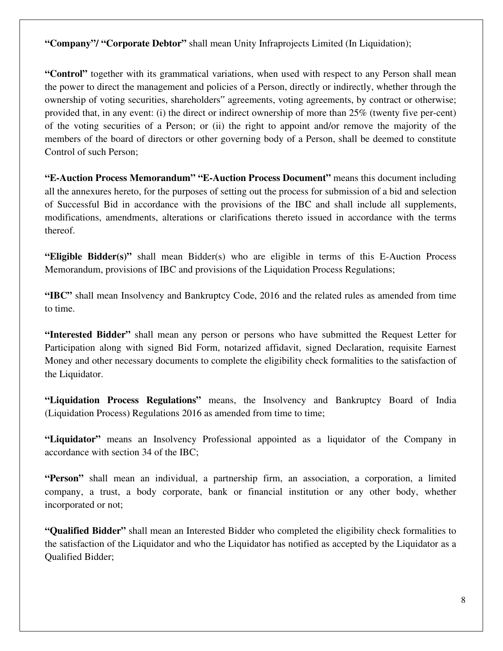**"Company"/ "Corporate Debtor"** shall mean Unity Infraprojects Limited (In Liquidation);

**"Control"** together with its grammatical variations, when used with respect to any Person shall mean the power to direct the management and policies of a Person, directly or indirectly, whether through the ownership of voting securities, shareholders" agreements, voting agreements, by contract or otherwise; provided that, in any event: (i) the direct or indirect ownership of more than 25% (twenty five per-cent) of the voting securities of a Person; or (ii) the right to appoint and/or remove the majority of the members of the board of directors or other governing body of a Person, shall be deemed to constitute Control of such Person;

**"E-Auction Process Memorandum" "E-Auction Process Document"** means this document including all the annexures hereto, for the purposes of setting out the process for submission of a bid and selection of Successful Bid in accordance with the provisions of the IBC and shall include all supplements, modifications, amendments, alterations or clarifications thereto issued in accordance with the terms thereof.

**"Eligible Bidder(s)"** shall mean Bidder(s) who are eligible in terms of this E-Auction Process Memorandum, provisions of IBC and provisions of the Liquidation Process Regulations;

**"IBC"** shall mean Insolvency and Bankruptcy Code, 2016 and the related rules as amended from time to time.

**"Interested Bidder"** shall mean any person or persons who have submitted the Request Letter for Participation along with signed Bid Form, notarized affidavit, signed Declaration, requisite Earnest Money and other necessary documents to complete the eligibility check formalities to the satisfaction of the Liquidator.

**"Liquidation Process Regulations"** means, the Insolvency and Bankruptcy Board of India (Liquidation Process) Regulations 2016 as amended from time to time;

**"Liquidator"** means an Insolvency Professional appointed as a liquidator of the Company in accordance with section 34 of the IBC;

**"Person"** shall mean an individual, a partnership firm, an association, a corporation, a limited company, a trust, a body corporate, bank or financial institution or any other body, whether incorporated or not;

**"Qualified Bidder"** shall mean an Interested Bidder who completed the eligibility check formalities to the satisfaction of the Liquidator and who the Liquidator has notified as accepted by the Liquidator as a Qualified Bidder;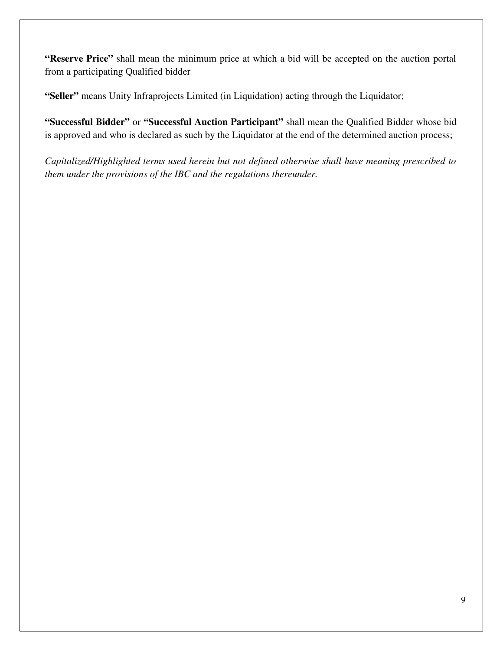**"Reserve Price"** shall mean the minimum price at which a bid will be accepted on the auction portal from a participating Qualified bidder

**"Seller"** means Unity Infraprojects Limited (in Liquidation) acting through the Liquidator;

**"Successful Bidder"** or **"Successful Auction Participant"** shall mean the Qualified Bidder whose bid is approved and who is declared as such by the Liquidator at the end of the determined auction process;

*Capitalized/Highlighted terms used herein but not defined otherwise shall have meaning prescribed to them under the provisions of the IBC and the regulations thereunder.*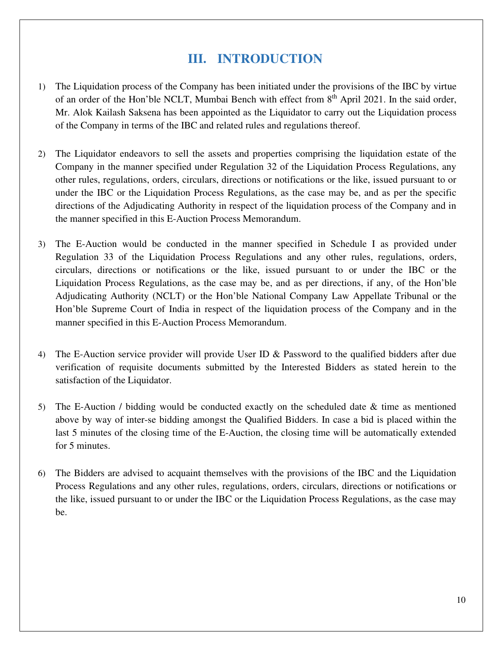## **III. INTRODUCTION**

- 1) The Liquidation process of the Company has been initiated under the provisions of the IBC by virtue of an order of the Hon'ble NCLT, Mumbai Bench with effect from 8<sup>th</sup> April 2021. In the said order, Mr. Alok Kailash Saksena has been appointed as the Liquidator to carry out the Liquidation process of the Company in terms of the IBC and related rules and regulations thereof.
- 2) The Liquidator endeavors to sell the assets and properties comprising the liquidation estate of the Company in the manner specified under Regulation 32 of the Liquidation Process Regulations, any other rules, regulations, orders, circulars, directions or notifications or the like, issued pursuant to or under the IBC or the Liquidation Process Regulations, as the case may be, and as per the specific directions of the Adjudicating Authority in respect of the liquidation process of the Company and in the manner specified in this E-Auction Process Memorandum.
- 3) The E-Auction would be conducted in the manner specified in Schedule I as provided under Regulation 33 of the Liquidation Process Regulations and any other rules, regulations, orders, circulars, directions or notifications or the like, issued pursuant to or under the IBC or the Liquidation Process Regulations, as the case may be, and as per directions, if any, of the Hon'ble Adjudicating Authority (NCLT) or the Hon'ble National Company Law Appellate Tribunal or the Hon'ble Supreme Court of India in respect of the liquidation process of the Company and in the manner specified in this E-Auction Process Memorandum.
- 4) The E-Auction service provider will provide User ID & Password to the qualified bidders after due verification of requisite documents submitted by the Interested Bidders as stated herein to the satisfaction of the Liquidator.
- 5) The E-Auction / bidding would be conducted exactly on the scheduled date & time as mentioned above by way of inter-se bidding amongst the Qualified Bidders. In case a bid is placed within the last 5 minutes of the closing time of the E-Auction, the closing time will be automatically extended for 5 minutes.
- 6) The Bidders are advised to acquaint themselves with the provisions of the IBC and the Liquidation Process Regulations and any other rules, regulations, orders, circulars, directions or notifications or the like, issued pursuant to or under the IBC or the Liquidation Process Regulations, as the case may be.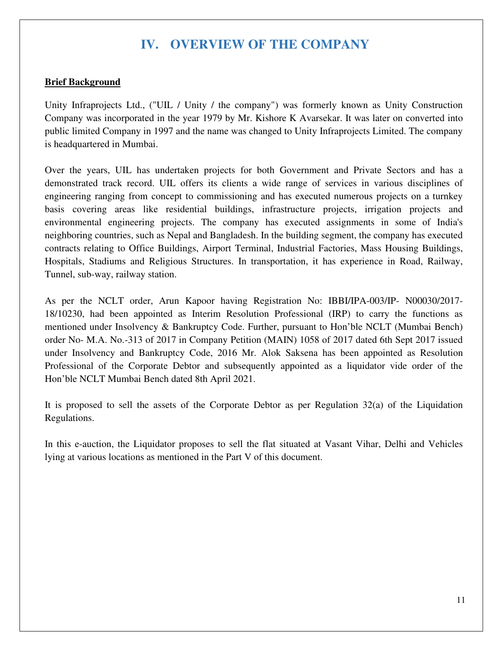## **IV. OVERVIEW OF THE COMPANY**

#### **Brief Background**

Unity Infraprojects Ltd., ("UIL / Unity / the company") was formerly known as Unity Construction Company was incorporated in the year 1979 by Mr. Kishore K Avarsekar. It was later on converted into public limited Company in 1997 and the name was changed to Unity Infraprojects Limited. The company is headquartered in Mumbai.

Over the years, UIL has undertaken projects for both Government and Private Sectors and has a demonstrated track record. UIL offers its clients a wide range of services in various disciplines of engineering ranging from concept to commissioning and has executed numerous projects on a turnkey basis covering areas like residential buildings, infrastructure projects, irrigation projects and environmental engineering projects. The company has executed assignments in some of India's neighboring countries, such as Nepal and Bangladesh. In the building segment, the company has executed contracts relating to Office Buildings, Airport Terminal, Industrial Factories, Mass Housing Buildings, Hospitals, Stadiums and Religious Structures. In transportation, it has experience in Road, Railway, Tunnel, sub-way, railway station.

As per the NCLT order, Arun Kapoor having Registration No: IBBI/IPA-003/IP- N00030/2017- 18/10230, had been appointed as Interim Resolution Professional (IRP) to carry the functions as mentioned under Insolvency & Bankruptcy Code. Further, pursuant to Hon'ble NCLT (Mumbai Bench) order No- M.A. No.-313 of 2017 in Company Petition (MAIN) 1058 of 2017 dated 6th Sept 2017 issued under Insolvency and Bankruptcy Code, 2016 Mr. Alok Saksena has been appointed as Resolution Professional of the Corporate Debtor and subsequently appointed as a liquidator vide order of the Hon'ble NCLT Mumbai Bench dated 8th April 2021.

It is proposed to sell the assets of the Corporate Debtor as per Regulation  $32(a)$  of the Liquidation Regulations.

In this e-auction, the Liquidator proposes to sell the flat situated at Vasant Vihar, Delhi and Vehicles lying at various locations as mentioned in the Part V of this document.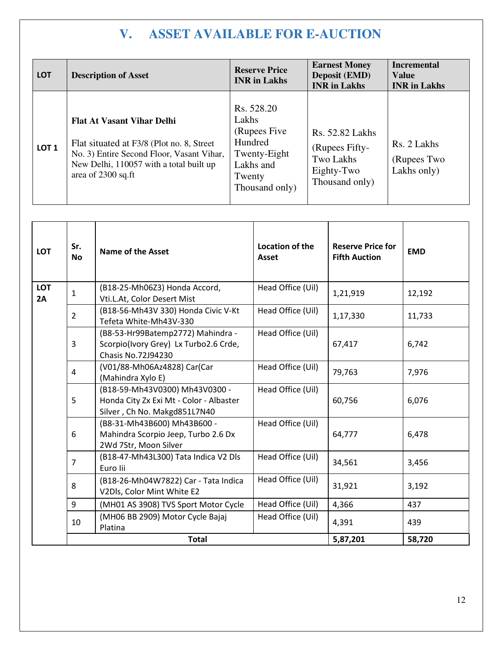## **V. ASSET AVAILABLE FOR E-AUCTION**

| <b>LOT</b>       | <b>Description of Asset</b>                                                                                                                                                                  | <b>Reserve Price</b><br><b>INR</b> in Lakhs                                                              | <b>Earnest Money</b><br><b>Deposit (EMD)</b><br><b>INR</b> in Lakhs                   | <b>Incremental</b><br><b>Value</b><br><b>INR</b> in Lakhs |
|------------------|----------------------------------------------------------------------------------------------------------------------------------------------------------------------------------------------|----------------------------------------------------------------------------------------------------------|---------------------------------------------------------------------------------------|-----------------------------------------------------------|
| LOT <sub>1</sub> | <b>Flat At Vasant Vihar Delhi</b><br>Flat situated at F3/8 (Plot no. 8, Street<br>No. 3) Entire Second Floor, Vasant Vihar,<br>New Delhi, 110057 with a total built up<br>area of 2300 sq.ft | Rs. 528.20<br>Lakhs<br>(Rupees Five)<br>Hundred<br>Twenty-Eight<br>Lakhs and<br>Twenty<br>Thousand only) | <b>Rs. 52.82 Lakhs</b><br>(Rupees Fifty-<br>Two Lakhs<br>Eighty-Two<br>Thousand only) | Rs. 2 Lakhs<br>(Rupees Two<br>Lakhs only)                 |

| <b>LOT</b>       | Sr.<br><b>No</b> | <b>Name of the Asset</b>                                                                                  | Location of the<br><b>Asset</b> | <b>Reserve Price for</b><br><b>Fifth Auction</b> | <b>EMD</b> |
|------------------|------------------|-----------------------------------------------------------------------------------------------------------|---------------------------------|--------------------------------------------------|------------|
| <b>LOT</b><br>2A | 1                | (B18-25-Mh06Z3) Honda Accord,<br>Vti.L.At, Color Desert Mist                                              | Head Office (Uil)               | 1,21,919                                         | 12,192     |
|                  | $\overline{2}$   | (B18-56-Mh43V 330) Honda Civic V-Kt<br>Tefeta White-Mh43V-330                                             | Head Office (Uil)               | 1,17,330                                         | 11,733     |
|                  | 3                | (B8-53-Hr99Batemp2772) Mahindra -<br>Scorpio(Ivory Grey) Lx Turbo2.6 Crde,<br><b>Chasis No.72J94230</b>   | Head Office (Uil)               | 67,417                                           | 6,742      |
|                  | 4                | (V01/88-Mh06Az4828) Car(Car<br>(Mahindra Xylo E)                                                          | Head Office (Uil)               | 79,763                                           | 7,976      |
|                  | 5                | (B18-59-Mh43V0300) Mh43V0300 -<br>Honda City Zx Exi Mt - Color - Albaster<br>Silver, Ch No. Makgd851L7N40 | Head Office (Uil)               | 60,756                                           | 6,076      |
|                  | 6                | (B8-31-Mh43B600) Mh43B600 -<br>Mahindra Scorpio Jeep, Turbo 2.6 Dx<br>2Wd 7Str, Moon Silver               | Head Office (Uil)               | 64,777                                           | 6,478      |
|                  | 7                | (B18-47-Mh43L300) Tata Indica V2 Dls<br>Euro lii                                                          | Head Office (Uil)               | 34,561                                           | 3,456      |
|                  | 8                | (B18-26-Mh04W7822) Car - Tata Indica<br>V2Dls, Color Mint White E2                                        | Head Office (Uil)               | 31,921                                           | 3,192      |
|                  | 9                | (MH01 AS 3908) TVS Sport Motor Cycle                                                                      | Head Office (Uil)               | 4,366                                            | 437        |
|                  | 10               | (MH06 BB 2909) Motor Cycle Bajaj<br>Platina                                                               | Head Office (Uil)               | 4,391                                            | 439        |
|                  |                  | <b>Total</b>                                                                                              |                                 | 5,87,201                                         | 58,720     |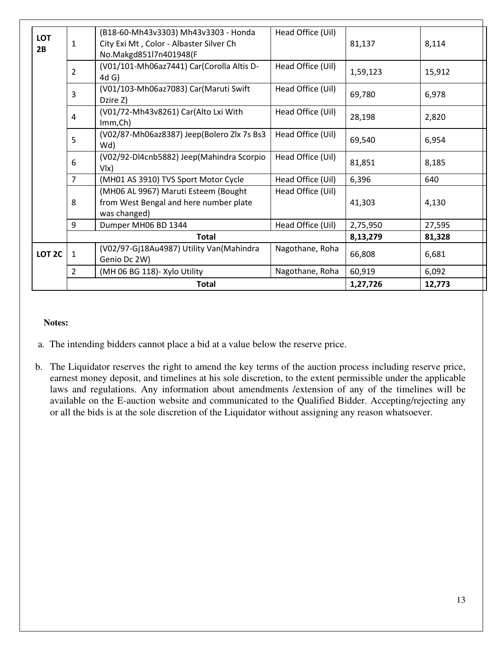|                   | Total                                                                       |                                                                                                           |                   | 1,27,726 | 12,773 |
|-------------------|-----------------------------------------------------------------------------|-----------------------------------------------------------------------------------------------------------|-------------------|----------|--------|
|                   | 2                                                                           | (MH 06 BG 118)- Xylo Utility                                                                              | Nagothane, Roha   | 60,919   | 6,092  |
| LOT <sub>2C</sub> | $\mathbf{1}$                                                                | (V02/97-Gj18Au4987) Utility Van(Mahindra<br>Genio Dc 2W)                                                  | Nagothane, Roha   | 66,808   | 6,681  |
|                   | <b>Total</b>                                                                |                                                                                                           | 8,13,279          | 81,328   |        |
|                   | 9<br>Head Office (Uil)<br>Dumper MH06 BD 1344                               |                                                                                                           | 2,75,950          | 27,595   |        |
|                   | 8                                                                           | (MH06 AL 9967) Maruti Esteem (Bought<br>from West Bengal and here number plate<br>was changed)            | Head Office (Uil) | 41,303   | 4,130  |
|                   | $\overline{7}$                                                              | (MH01 AS 3910) TVS Sport Motor Cycle                                                                      | Head Office (Uil) | 6,396    | 640    |
|                   | 6                                                                           | (V02/92-Dl4cnb5882) Jeep(Mahindra Scorpio<br>V <sub>l</sub>                                               | Head Office (Uil) | 81,851   | 8,185  |
|                   | (V02/87-Mh06az8387) Jeep(Bolero Zlx 7s Bs3<br>Head Office (Uil)<br>5<br>Wd) |                                                                                                           | 69,540            | 6,954    |        |
|                   | 4                                                                           | (V01/72-Mh43v8261) Car(Alto Lxi With<br>Imm, Ch)                                                          | Head Office (Uil) | 28,198   | 2,820  |
|                   | 3                                                                           | (V01/103-Mh06az7083) Car(Maruti Swift<br>Dzire Z)                                                         | Head Office (Uil) | 69,780   | 6,978  |
|                   | $\overline{2}$                                                              | (V01/101-Mh06az7441) Car(Corolla Altis D-<br>$4d$ G)                                                      | Head Office (Uil) | 1,59,123 | 15,912 |
| <b>LOT</b><br>2B  | $\mathbf{1}$                                                                | (B18-60-Mh43v3303) Mh43v3303 - Honda<br>City Exi Mt, Color - Albaster Silver Ch<br>No.Makgd851l7n401948(F | Head Office (Uil) | 81,137   | 8,114  |
|                   |                                                                             |                                                                                                           |                   |          |        |

#### **Notes:**

- a. The intending bidders cannot place a bid at a value below the reserve price.
- b. The Liquidator reserves the right to amend the key terms of the auction process including reserve price, earnest money deposit, and timelines at his sole discretion, to the extent permissible under the applicable laws and regulations. Any information about amendments /extension of any of the timelines will be available on the E-auction website and communicated to the Qualified Bidder. Accepting/rejecting any or all the bids is at the sole discretion of the Liquidator without assigning any reason whatsoever.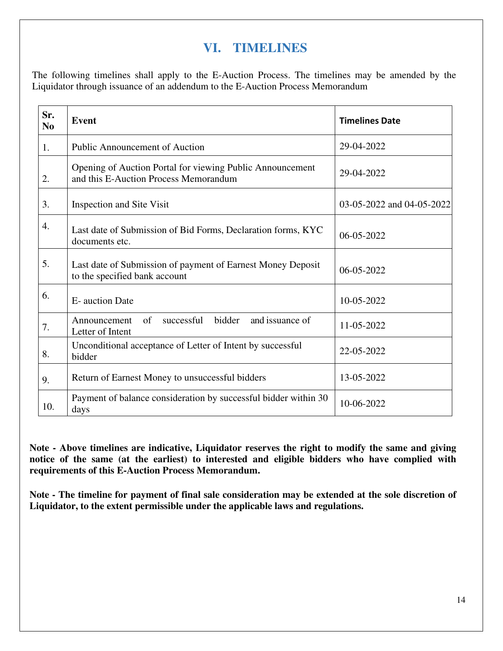## **VI. TIMELINES**

The following timelines shall apply to the E-Auction Process. The timelines may be amended by the Liquidator through issuance of an addendum to the E-Auction Process Memorandum

| Sr.<br>N <sub>0</sub> | <b>Event</b>                                                                                       | <b>Timelines Date</b>     |
|-----------------------|----------------------------------------------------------------------------------------------------|---------------------------|
| 1.                    | <b>Public Announcement of Auction</b>                                                              | 29-04-2022                |
| 2.                    | Opening of Auction Portal for viewing Public Announcement<br>and this E-Auction Process Memorandum | 29-04-2022                |
| 3.                    | Inspection and Site Visit                                                                          | 03-05-2022 and 04-05-2022 |
| 4.                    | Last date of Submission of Bid Forms, Declaration forms, KYC<br>documents etc.                     | $06 - 05 - 2022$          |
| 5.                    | Last date of Submission of payment of Earnest Money Deposit<br>to the specified bank account       | 06-05-2022                |
| 6.                    | E- auction Date                                                                                    | 10-05-2022                |
| 7.                    | of<br>successful<br>bidder<br>and issuance of<br>Announcement<br>Letter of Intent                  | 11-05-2022                |
| 8.                    | Unconditional acceptance of Letter of Intent by successful<br>bidder                               | 22-05-2022                |
| 9.                    | Return of Earnest Money to unsuccessful bidders                                                    | 13-05-2022                |
| 10.                   | Payment of balance consideration by successful bidder within 30<br>days                            | 10-06-2022                |

**Note - Above timelines are indicative, Liquidator reserves the right to modify the same and giving notice of the same (at the earliest) to interested and eligible bidders who have complied with requirements of this E-Auction Process Memorandum.** 

**Note - The timeline for payment of final sale consideration may be extended at the sole discretion of Liquidator, to the extent permissible under the applicable laws and regulations.**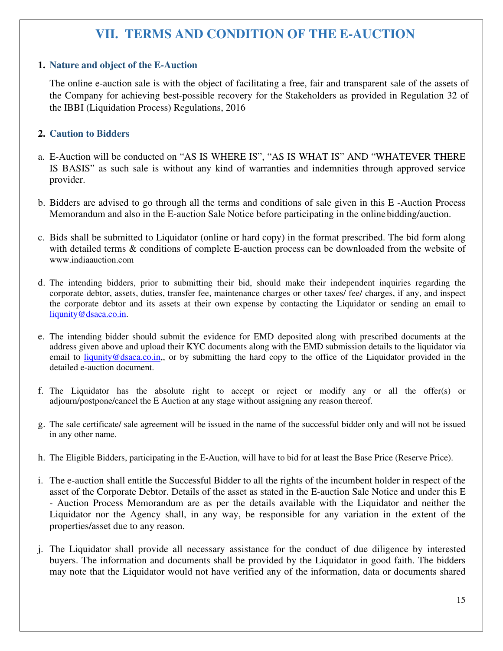## **VII. TERMS AND CONDITION OF THE E-AUCTION**

#### **1. Nature and object of the E-Auction**

The online e-auction sale is with the object of facilitating a free, fair and transparent sale of the assets of the Company for achieving best-possible recovery for the Stakeholders as provided in Regulation 32 of the IBBI (Liquidation Process) Regulations, 2016

#### **2. Caution to Bidders**

- a. E-Auction will be conducted on "AS IS WHERE IS", "AS IS WHAT IS" AND "WHATEVER THERE IS BASIS" as such sale is without any kind of warranties and indemnities through approved service provider.
- b. Bidders are advised to go through all the terms and conditions of sale given in this E -Auction Process Memorandum and also in the E-auction Sale Notice before participating in the online bidding/auction.
- c. Bids shall be submitted to Liquidator (online or hard copy) in the format prescribed. The bid form along with detailed terms & conditions of complete E-auction process can be downloaded from the website of www.indiaauction.com
- d. The intending bidders, prior to submitting their bid, should make their independent inquiries regarding the corporate debtor, assets, duties, transfer fee, maintenance charges or other taxes/ fee/ charges, if any, and inspect the corporate debtor and its assets at their own expense by contacting the Liquidator or sending an email to liqunity@dsaca.co.in.
- e. The intending bidder should submit the evidence for EMD deposited along with prescribed documents at the address given above and upload their KYC documents along with the EMD submission details to the liquidator via email to liqunity@dsaca.co.in,, or by submitting the hard copy to the office of the Liquidator provided in the detailed e-auction document.
- f. The Liquidator has the absolute right to accept or reject or modify any or all the offer(s) or adjourn/postpone/cancel the E Auction at any stage without assigning any reason thereof.
- g. The sale certificate/ sale agreement will be issued in the name of the successful bidder only and will not be issued in any other name.
- h. The Eligible Bidders, participating in the E-Auction, will have to bid for at least the Base Price (Reserve Price).
- i. The e-auction shall entitle the Successful Bidder to all the rights of the incumbent holder in respect of the asset of the Corporate Debtor. Details of the asset as stated in the E-auction Sale Notice and under this E - Auction Process Memorandum are as per the details available with the Liquidator and neither the Liquidator nor the Agency shall, in any way, be responsible for any variation in the extent of the properties/asset due to any reason.
- j. The Liquidator shall provide all necessary assistance for the conduct of due diligence by interested buyers. The information and documents shall be provided by the Liquidator in good faith. The bidders may note that the Liquidator would not have verified any of the information, data or documents shared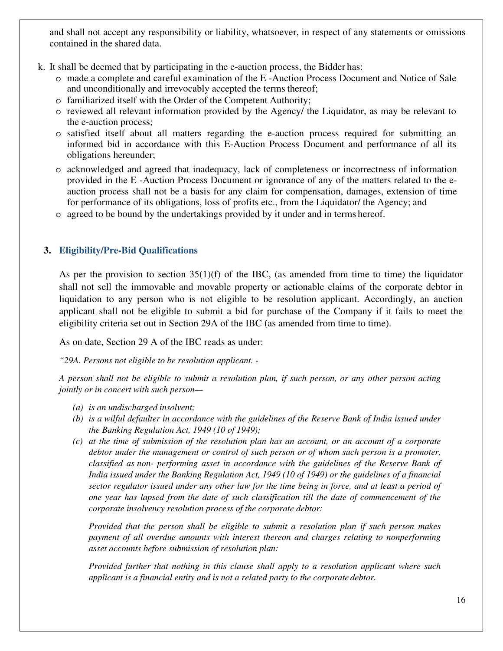and shall not accept any responsibility or liability, whatsoever, in respect of any statements or omissions contained in the shared data.

- k. It shall be deemed that by participating in the e-auction process, the Bidder has:
	- o made a complete and careful examination of the E -Auction Process Document and Notice of Sale and unconditionally and irrevocably accepted the terms thereof;
	- o familiarized itself with the Order of the Competent Authority;
	- o reviewed all relevant information provided by the Agency/ the Liquidator, as may be relevant to the e-auction process;
	- o satisfied itself about all matters regarding the e-auction process required for submitting an informed bid in accordance with this E-Auction Process Document and performance of all its obligations hereunder;
	- o acknowledged and agreed that inadequacy, lack of completeness or incorrectness of information provided in the E -Auction Process Document or ignorance of any of the matters related to the eauction process shall not be a basis for any claim for compensation, damages, extension of time for performance of its obligations, loss of profits etc., from the Liquidator/ the Agency; and
	- o agreed to be bound by the undertakings provided by it under and in terms hereof.

### **3. Eligibility/Pre-Bid Qualifications**

As per the provision to section 35(1)(f) of the IBC, (as amended from time to time) the liquidator shall not sell the immovable and movable property or actionable claims of the corporate debtor in liquidation to any person who is not eligible to be resolution applicant. Accordingly, an auction applicant shall not be eligible to submit a bid for purchase of the Company if it fails to meet the eligibility criteria set out in Section 29A of the IBC (as amended from time to time).

As on date, Section 29 A of the IBC reads as under:

*"29A. Persons not eligible to be resolution applicant. -* 

*A person shall not be eligible to submit a resolution plan, if such person, or any other person acting jointly or in concert with such person—* 

- *(a) is an undischarged insolvent;*
- *(b) is a wilful defaulter in accordance with the guidelines of the Reserve Bank of India issued under the Banking Regulation Act, 1949 (10 of 1949);*
- *(c) at the time of submission of the resolution plan has an account, or an account of a corporate debtor under the management or control of such person or of whom such person is a promoter, classified as non- performing asset in accordance with the guidelines of the Reserve Bank of India issued under the Banking Regulation Act, 1949 (10 of 1949) or the guidelines of a financial sector regulator issued under any other law for the time being in force, and at least a period of one year has lapsed from the date of such classification till the date of commencement of the corporate insolvency resolution process of the corporate debtor:*

*Provided that the person shall be eligible to submit a resolution plan if such person makes payment of all overdue amounts with interest thereon and charges relating to nonperforming asset accounts before submission of resolution plan:* 

*Provided further that nothing in this clause shall apply to a resolution applicant where such applicant is a financial entity and is not a related party to the corporate debtor.*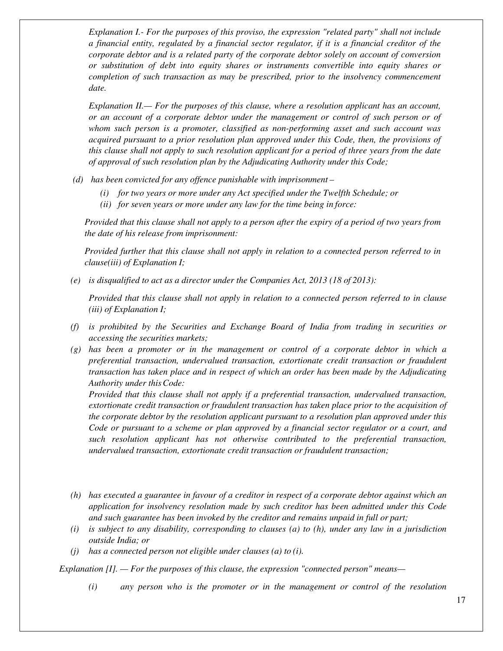*Explanation I.- For the purposes of this proviso, the expression "related party" shall not include a financial entity, regulated by a financial sector regulator, if it is a financial creditor of the corporate debtor and is a related party of the corporate debtor solely on account of conversion or substitution of debt into equity shares or instruments convertible into equity shares or completion of such transaction as may be prescribed, prior to the insolvency commencement date.* 

*Explanation II.— For the purposes of this clause, where a resolution applicant has an account, or an account of a corporate debtor under the management or control of such person or of whom such person is a promoter, classified as non-performing asset and such account was acquired pursuant to a prior resolution plan approved under this Code, then, the provisions of this clause shall not apply to such resolution applicant for a period of three years from the date of approval of such resolution plan by the Adjudicating Authority under this Code;* 

- *(d) has been convicted for any offence punishable with imprisonment* 
	- *(i) for two years or more under any Act specified under the Twelfth Schedule; or*
	- *(ii) for seven years or more under any law for the time being in force:*

*Provided that this clause shall not apply to a person after the expiry of a period of two years from the date of his release from imprisonment:* 

*Provided further that this clause shall not apply in relation to a connected person referred to in clause(iii) of Explanation I;* 

*(e) is disqualified to act as a director under the Companies Act, 2013 (18 of 2013):* 

 *Provided that this clause shall not apply in relation to a connected person referred to in clause (iii) of Explanation I;* 

- *(f) is prohibited by the Securities and Exchange Board of India from trading in securities or accessing the securities markets;*
- *(g) has been a promoter or in the management or control of a corporate debtor in which a preferential transaction, undervalued transaction, extortionate credit transaction or fraudulent transaction has taken place and in respect of which an order has been made by the Adjudicating Authority under this Code:*

 *Provided that this clause shall not apply if a preferential transaction, undervalued transaction, extortionate credit transaction or fraudulent transaction has taken place prior to the acquisition of the corporate debtor by the resolution applicant pursuant to a resolution plan approved under this Code or pursuant to a scheme or plan approved by a financial sector regulator or a court, and such resolution applicant has not otherwise contributed to the preferential transaction, undervalued transaction, extortionate credit transaction or fraudulent transaction;* 

- *(h) has executed a guarantee in favour of a creditor in respect of a corporate debtor against which an application for insolvency resolution made by such creditor has been admitted under this Code and such guarantee has been invoked by the creditor and remains unpaid in full or part;*
- *(i) is subject to any disability, corresponding to clauses (a) to (h), under any law in a jurisdiction outside India; or*
- *(j) has a connected person not eligible under clauses (a) to (i).*

*Explanation [I]. — For the purposes of this clause, the expression "connected person" means—* 

*(i) any person who is the promoter or in the management or control of the resolution*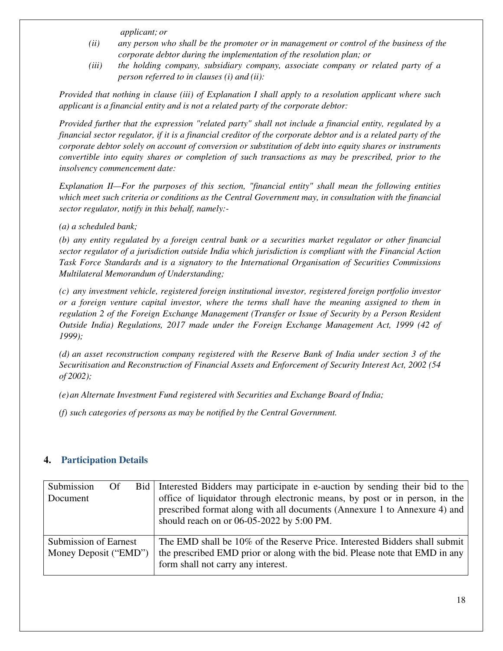*applicant; or* 

- *(ii) any person who shall be the promoter or in management or control of the business of the corporate debtor during the implementation of the resolution plan; or*
- *(iii) the holding company, subsidiary company, associate company or related party of a person referred to in clauses (i) and (ii):*

*Provided that nothing in clause (iii) of Explanation I shall apply to a resolution applicant where such applicant is a financial entity and is not a related party of the corporate debtor:* 

*Provided further that the expression "related party" shall not include a financial entity, regulated by a financial sector regulator, if it is a financial creditor of the corporate debtor and is a related party of the corporate debtor solely on account of conversion or substitution of debt into equity shares or instruments convertible into equity shares or completion of such transactions as may be prescribed, prior to the insolvency commencement date:* 

*Explanation II—For the purposes of this section, "financial entity" shall mean the following entities which meet such criteria or conditions as the Central Government may, in consultation with the financial sector regulator, notify in this behalf, namely:-* 

#### *(a) a scheduled bank;*

*(b) any entity regulated by a foreign central bank or a securities market regulator or other financial sector regulator of a jurisdiction outside India which jurisdiction is compliant with the Financial Action Task Force Standards and is a signatory to the International Organisation of Securities Commissions Multilateral Memorandum of Understanding;* 

*(c) any investment vehicle, registered foreign institutional investor, registered foreign portfolio investor or a foreign venture capital investor, where the terms shall have the meaning assigned to them in regulation 2 of the Foreign Exchange Management (Transfer or Issue of Security by a Person Resident Outside India) Regulations, 2017 made under the Foreign Exchange Management Act, 1999 (42 of 1999);* 

*(d) an asset reconstruction company registered with the Reserve Bank of India under section 3 of the Securitisation and Reconstruction of Financial Assets and Enforcement of Security Interest Act, 2002 (54 of 2002);* 

*(e)an Alternate Investment Fund registered with Securities and Exchange Board of India;* 

*(f) such categories of persons as may be notified by the Central Government.* 

#### **4. Participation Details**

| Submission<br>Of                               | Bid   Interested Bidders may participate in e-auction by sending their bid to the                                                                                                                     |
|------------------------------------------------|-------------------------------------------------------------------------------------------------------------------------------------------------------------------------------------------------------|
| Document                                       | office of liquidator through electronic means, by post or in person, in the<br>prescribed format along with all documents (Annexure 1 to Annexure 4) and<br>should reach on or 06-05-2022 by 5:00 PM. |
| Submission of Earnest<br>Money Deposit ("EMD") | The EMD shall be 10% of the Reserve Price. Interested Bidders shall submit<br>the prescribed EMD prior or along with the bid. Please note that EMD in any                                             |
|                                                | form shall not carry any interest.                                                                                                                                                                    |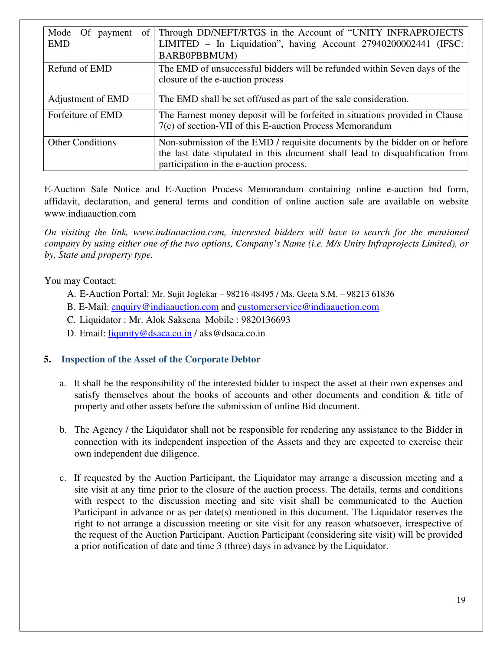| Mode Of payment<br>of  <br><b>EMD</b> | Through DD/NEFT/RTGS in the Account of "UNITY INFRAPROJECTS<br>LIMITED - In Liquidation", having Account 27940200002441 (IFSC:<br>BARB0PBBMUM)                                                         |
|---------------------------------------|--------------------------------------------------------------------------------------------------------------------------------------------------------------------------------------------------------|
| Refund of EMD                         | The EMD of unsuccessful bidders will be refunded within Seven days of the<br>closure of the e-auction process                                                                                          |
| Adjustment of EMD                     | The EMD shall be set off/used as part of the sale consideration.                                                                                                                                       |
| Forfeiture of EMD                     | The Earnest money deposit will be forfeited in situations provided in Clause<br>7(c) of section-VII of this E-auction Process Memorandum                                                               |
| <b>Other Conditions</b>               | Non-submission of the EMD / requisite documents by the bidder on or before<br>the last date stipulated in this document shall lead to disqualification from<br>participation in the e-auction process. |

E-Auction Sale Notice and E-Auction Process Memorandum containing online e-auction bid form, affidavit, declaration, and general terms and condition of online auction sale are available on website www.indiaauction.com

*On visiting the link, www.indiaauction.com, interested bidders will have to search for the mentioned company by using either one of the two options, Company's Name (i.e. M/s Unity Infraprojects Limited), or by, State and property type.* 

You may Contact:

- A. E-Auction Portal: Mr. Sujit Joglekar 98216 48495 / Ms. Geeta S.M. 98213 61836
- B. E-Mail: enquiry@indiaauction.com and customerservice@indiaauction.com
- C. Liquidator : Mr. Alok Saksena Mobile : 9820136693
- D. Email: liqunity@dsaca.co.in / aks@dsaca.co.in

### **5. Inspection of the Asset of the Corporate Debtor**

- a. It shall be the responsibility of the interested bidder to inspect the asset at their own expenses and satisfy themselves about the books of accounts and other documents and condition & title of property and other assets before the submission of online Bid document.
- b. The Agency / the Liquidator shall not be responsible for rendering any assistance to the Bidder in connection with its independent inspection of the Assets and they are expected to exercise their own independent due diligence.
- c. If requested by the Auction Participant, the Liquidator may arrange a discussion meeting and a site visit at any time prior to the closure of the auction process. The details, terms and conditions with respect to the discussion meeting and site visit shall be communicated to the Auction Participant in advance or as per date(s) mentioned in this document. The Liquidator reserves the right to not arrange a discussion meeting or site visit for any reason whatsoever, irrespective of the request of the Auction Participant. Auction Participant (considering site visit) will be provided a prior notification of date and time 3 (three) days in advance by the Liquidator.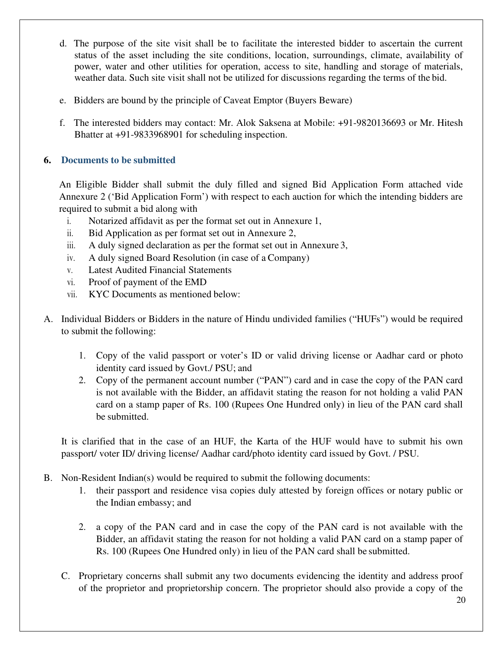- d. The purpose of the site visit shall be to facilitate the interested bidder to ascertain the current status of the asset including the site conditions, location, surroundings, climate, availability of power, water and other utilities for operation, access to site, handling and storage of materials, weather data. Such site visit shall not be utilized for discussions regarding the terms of the bid.
- e. Bidders are bound by the principle of Caveat Emptor (Buyers Beware)
- f. The interested bidders may contact: Mr. Alok Saksena at Mobile: +91-9820136693 or Mr. Hitesh Bhatter at +91-9833968901 for scheduling inspection.

## **6. Documents to be submitted**

An Eligible Bidder shall submit the duly filled and signed Bid Application Form attached vide Annexure 2 ('Bid Application Form') with respect to each auction for which the intending bidders are required to submit a bid along with

- i. Notarized affidavit as per the format set out in Annexure 1,
- ii. Bid Application as per format set out in Annexure 2,
- iii. A duly signed declaration as per the format set out in Annexure 3,
- iv. A duly signed Board Resolution (in case of a Company)
- v. Latest Audited Financial Statements
- vi. Proof of payment of the EMD
- vii. KYC Documents as mentioned below:
- A. Individual Bidders or Bidders in the nature of Hindu undivided families ("HUFs") would be required to submit the following:
	- 1. Copy of the valid passport or voter's ID or valid driving license or Aadhar card or photo identity card issued by Govt./ PSU; and
	- 2. Copy of the permanent account number ("PAN") card and in case the copy of the PAN card is not available with the Bidder, an affidavit stating the reason for not holding a valid PAN card on a stamp paper of Rs. 100 (Rupees One Hundred only) in lieu of the PAN card shall be submitted.

It is clarified that in the case of an HUF, the Karta of the HUF would have to submit his own passport/ voter ID/ driving license/ Aadhar card/photo identity card issued by Govt. / PSU.

- B. Non-Resident Indian(s) would be required to submit the following documents:
	- 1. their passport and residence visa copies duly attested by foreign offices or notary public or the Indian embassy; and
	- 2. a copy of the PAN card and in case the copy of the PAN card is not available with the Bidder, an affidavit stating the reason for not holding a valid PAN card on a stamp paper of Rs. 100 (Rupees One Hundred only) in lieu of the PAN card shall be submitted.
	- C. Proprietary concerns shall submit any two documents evidencing the identity and address proof of the proprietor and proprietorship concern. The proprietor should also provide a copy of the

20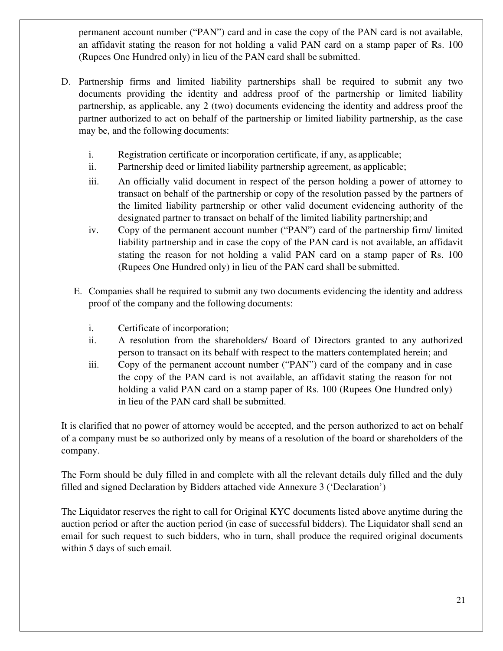permanent account number ("PAN") card and in case the copy of the PAN card is not available, an affidavit stating the reason for not holding a valid PAN card on a stamp paper of Rs. 100 (Rupees One Hundred only) in lieu of the PAN card shall be submitted.

- D. Partnership firms and limited liability partnerships shall be required to submit any two documents providing the identity and address proof of the partnership or limited liability partnership, as applicable, any 2 (two) documents evidencing the identity and address proof the partner authorized to act on behalf of the partnership or limited liability partnership, as the case may be, and the following documents:
	- i. Registration certificate or incorporation certificate, if any, as applicable;
	- ii. Partnership deed or limited liability partnership agreement, as applicable;
	- iii. An officially valid document in respect of the person holding a power of attorney to transact on behalf of the partnership or copy of the resolution passed by the partners of the limited liability partnership or other valid document evidencing authority of the designated partner to transact on behalf of the limited liability partnership; and
	- iv. Copy of the permanent account number ("PAN") card of the partnership firm/ limited liability partnership and in case the copy of the PAN card is not available, an affidavit stating the reason for not holding a valid PAN card on a stamp paper of Rs. 100 (Rupees One Hundred only) in lieu of the PAN card shall be submitted.
	- E. Companies shall be required to submit any two documents evidencing the identity and address proof of the company and the following documents:
		- i. Certificate of incorporation;
		- ii. A resolution from the shareholders/ Board of Directors granted to any authorized person to transact on its behalf with respect to the matters contemplated herein; and
		- iii. Copy of the permanent account number ("PAN") card of the company and in case the copy of the PAN card is not available, an affidavit stating the reason for not holding a valid PAN card on a stamp paper of Rs. 100 (Rupees One Hundred only) in lieu of the PAN card shall be submitted.

It is clarified that no power of attorney would be accepted, and the person authorized to act on behalf of a company must be so authorized only by means of a resolution of the board or shareholders of the company.

The Form should be duly filled in and complete with all the relevant details duly filled and the duly filled and signed Declaration by Bidders attached vide Annexure 3 ('Declaration')

The Liquidator reserves the right to call for Original KYC documents listed above anytime during the auction period or after the auction period (in case of successful bidders). The Liquidator shall send an email for such request to such bidders, who in turn, shall produce the required original documents within 5 days of such email.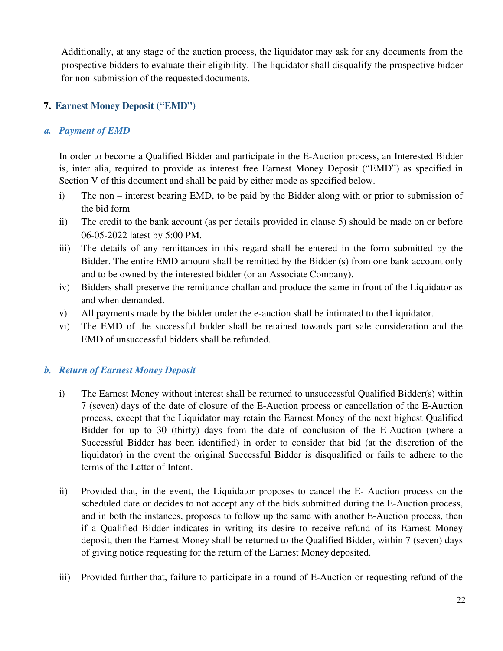Additionally, at any stage of the auction process, the liquidator may ask for any documents from the prospective bidders to evaluate their eligibility. The liquidator shall disqualify the prospective bidder for non-submission of the requested documents.

### **7. Earnest Money Deposit ("EMD")**

### *a. Payment of EMD*

In order to become a Qualified Bidder and participate in the E-Auction process, an Interested Bidder is, inter alia, required to provide as interest free Earnest Money Deposit ("EMD") as specified in Section V of this document and shall be paid by either mode as specified below.

- i) The non interest bearing EMD, to be paid by the Bidder along with or prior to submission of the bid form
- ii) The credit to the bank account (as per details provided in clause 5) should be made on or before 06-05-2022 latest by 5:00 PM.
- iii) The details of any remittances in this regard shall be entered in the form submitted by the Bidder. The entire EMD amount shall be remitted by the Bidder (s) from one bank account only and to be owned by the interested bidder (or an Associate Company).
- iv) Bidders shall preserve the remittance challan and produce the same in front of the Liquidator as and when demanded.
- v) All payments made by the bidder under the e-auction shall be intimated to the Liquidator.
- vi) The EMD of the successful bidder shall be retained towards part sale consideration and the EMD of unsuccessful bidders shall be refunded.

## *b. Return of Earnest Money Deposit*

- i) The Earnest Money without interest shall be returned to unsuccessful Qualified Bidder(s) within 7 (seven) days of the date of closure of the E-Auction process or cancellation of the E-Auction process, except that the Liquidator may retain the Earnest Money of the next highest Qualified Bidder for up to 30 (thirty) days from the date of conclusion of the E-Auction (where a Successful Bidder has been identified) in order to consider that bid (at the discretion of the liquidator) in the event the original Successful Bidder is disqualified or fails to adhere to the terms of the Letter of Intent.
- ii) Provided that, in the event, the Liquidator proposes to cancel the E- Auction process on the scheduled date or decides to not accept any of the bids submitted during the E-Auction process, and in both the instances, proposes to follow up the same with another E-Auction process, then if a Qualified Bidder indicates in writing its desire to receive refund of its Earnest Money deposit, then the Earnest Money shall be returned to the Qualified Bidder, within 7 (seven) days of giving notice requesting for the return of the Earnest Money deposited.
- iii) Provided further that, failure to participate in a round of E-Auction or requesting refund of the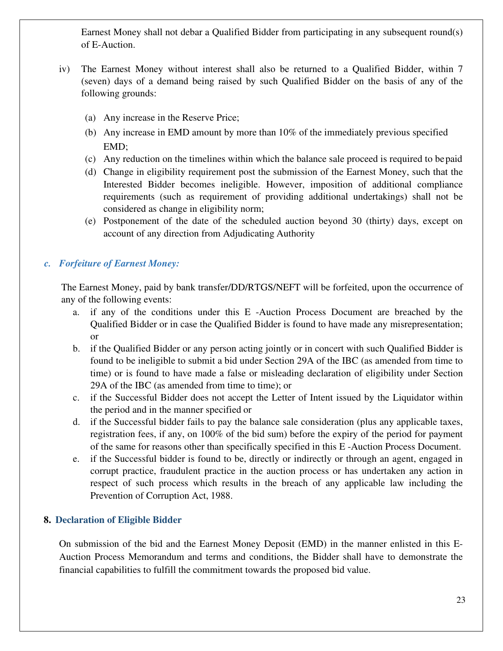Earnest Money shall not debar a Qualified Bidder from participating in any subsequent round(s) of E-Auction.

- iv) The Earnest Money without interest shall also be returned to a Qualified Bidder, within 7 (seven) days of a demand being raised by such Qualified Bidder on the basis of any of the following grounds:
	- (a) Any increase in the Reserve Price;
	- (b) Any increase in EMD amount by more than 10% of the immediately previous specified EMD;
	- (c) Any reduction on the timelines within which the balance sale proceed is required to be paid
	- (d) Change in eligibility requirement post the submission of the Earnest Money, such that the Interested Bidder becomes ineligible. However, imposition of additional compliance requirements (such as requirement of providing additional undertakings) shall not be considered as change in eligibility norm;
	- (e) Postponement of the date of the scheduled auction beyond 30 (thirty) days, except on account of any direction from Adjudicating Authority

### *c. Forfeiture of Earnest Money:*

 The Earnest Money, paid by bank transfer/DD/RTGS/NEFT will be forfeited, upon the occurrence of any of the following events:

- a. if any of the conditions under this E -Auction Process Document are breached by the Qualified Bidder or in case the Qualified Bidder is found to have made any misrepresentation; or
- b. if the Qualified Bidder or any person acting jointly or in concert with such Qualified Bidder is found to be ineligible to submit a bid under Section 29A of the IBC (as amended from time to time) or is found to have made a false or misleading declaration of eligibility under Section 29A of the IBC (as amended from time to time); or
- c. if the Successful Bidder does not accept the Letter of Intent issued by the Liquidator within the period and in the manner specified or
- d. if the Successful bidder fails to pay the balance sale consideration (plus any applicable taxes, registration fees, if any, on 100% of the bid sum) before the expiry of the period for payment of the same for reasons other than specifically specified in this E -Auction Process Document.
- e. if the Successful bidder is found to be, directly or indirectly or through an agent, engaged in corrupt practice, fraudulent practice in the auction process or has undertaken any action in respect of such process which results in the breach of any applicable law including the Prevention of Corruption Act, 1988.

### **8. Declaration of Eligible Bidder**

On submission of the bid and the Earnest Money Deposit (EMD) in the manner enlisted in this E-Auction Process Memorandum and terms and conditions, the Bidder shall have to demonstrate the financial capabilities to fulfill the commitment towards the proposed bid value.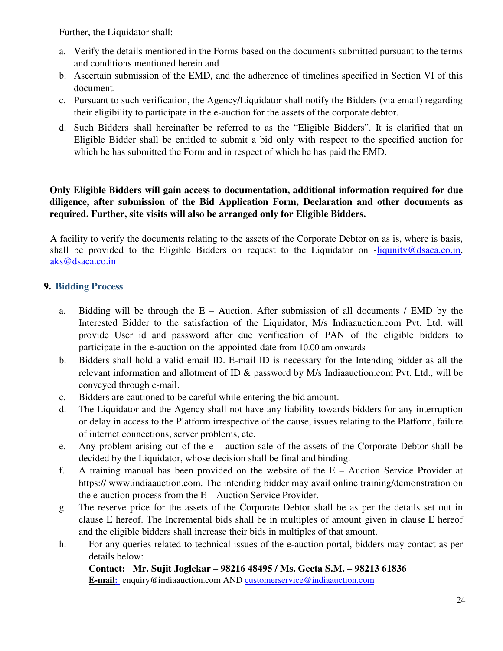Further, the Liquidator shall:

- a. Verify the details mentioned in the Forms based on the documents submitted pursuant to the terms and conditions mentioned herein and
- b. Ascertain submission of the EMD, and the adherence of timelines specified in Section VI of this document.
- c. Pursuant to such verification, the Agency/Liquidator shall notify the Bidders (via email) regarding their eligibility to participate in the e-auction for the assets of the corporate debtor.
- d. Such Bidders shall hereinafter be referred to as the "Eligible Bidders". It is clarified that an Eligible Bidder shall be entitled to submit a bid only with respect to the specified auction for which he has submitted the Form and in respect of which he has paid the EMD.

## **Only Eligible Bidders will gain access to documentation, additional information required for due diligence, after submission of the Bid Application Form, Declaration and other documents as required. Further, site visits will also be arranged only for Eligible Bidders.**

A facility to verify the documents relating to the assets of the Corporate Debtor on as is, where is basis, shall be provided to the Eligible Bidders on request to the Liquidator on -liqunity@dsaca.co.in, aks@dsaca.co.in

### **9. Bidding Process**

- a. Bidding will be through the  $E -$  Auction. After submission of all documents / EMD by the Interested Bidder to the satisfaction of the Liquidator, M/s Indiaauction.com Pvt. Ltd. will provide User id and password after due verification of PAN of the eligible bidders to participate in the e-auction on the appointed date from 10.00 am onwards
- b. Bidders shall hold a valid email ID. E-mail ID is necessary for the Intending bidder as all the relevant information and allotment of ID & password by M/s Indiaauction.com Pvt. Ltd., will be conveyed through e-mail.
- c. Bidders are cautioned to be careful while entering the bid amount.
- d. The Liquidator and the Agency shall not have any liability towards bidders for any interruption or delay in access to the Platform irrespective of the cause, issues relating to the Platform, failure of internet connections, server problems, etc.
- e. Any problem arising out of the e auction sale of the assets of the Corporate Debtor shall be decided by the Liquidator, whose decision shall be final and binding.
- f. A training manual has been provided on the website of the E Auction Service Provider at https:// www.indiaauction.com. The intending bidder may avail online training/demonstration on the e-auction process from the E – Auction Service Provider.
- g. The reserve price for the assets of the Corporate Debtor shall be as per the details set out in clause E hereof. The Incremental bids shall be in multiples of amount given in clause E hereof and the eligible bidders shall increase their bids in multiples of that amount.
- h. For any queries related to technical issues of the e-auction portal, bidders may contact as per details below:

#### **Contact: Mr. Sujit Joglekar – 98216 48495 / Ms. Geeta S.M. – 98213 61836 E-mail:** enquiry@indiaauction.com AND customerservice@indiaauction.com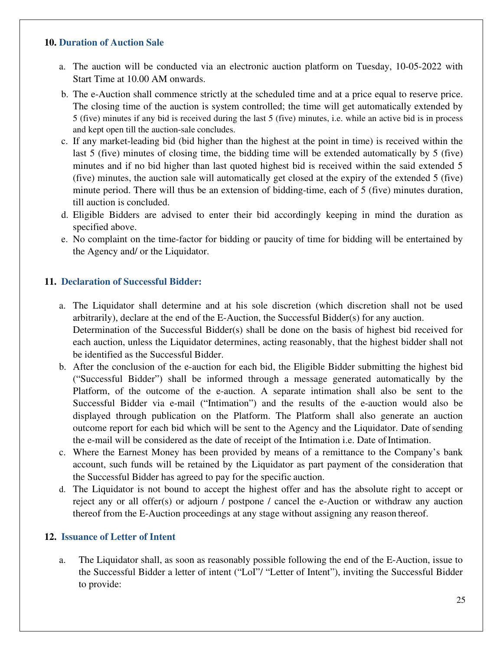#### **10. Duration of Auction Sale**

- a. The auction will be conducted via an electronic auction platform on Tuesday, 10-05-2022 with Start Time at 10.00 AM onwards.
- b. The e-Auction shall commence strictly at the scheduled time and at a price equal to reserve price. The closing time of the auction is system controlled; the time will get automatically extended by 5 (five) minutes if any bid is received during the last 5 (five) minutes, i.e. while an active bid is in process and kept open till the auction-sale concludes.
- c. If any market-leading bid (bid higher than the highest at the point in time) is received within the last 5 (five) minutes of closing time, the bidding time will be extended automatically by 5 (five) minutes and if no bid higher than last quoted highest bid is received within the said extended 5 (five) minutes, the auction sale will automatically get closed at the expiry of the extended 5 (five) minute period. There will thus be an extension of bidding-time, each of 5 (five) minutes duration, till auction is concluded.
- d. Eligible Bidders are advised to enter their bid accordingly keeping in mind the duration as specified above.
- e. No complaint on the time-factor for bidding or paucity of time for bidding will be entertained by the Agency and/ or the Liquidator.

#### **11. Declaration of Successful Bidder:**

- a. The Liquidator shall determine and at his sole discretion (which discretion shall not be used arbitrarily), declare at the end of the E-Auction, the Successful Bidder(s) for any auction. Determination of the Successful Bidder(s) shall be done on the basis of highest bid received for each auction, unless the Liquidator determines, acting reasonably, that the highest bidder shall not be identified as the Successful Bidder.
- b. After the conclusion of the e-auction for each bid, the Eligible Bidder submitting the highest bid ("Successful Bidder") shall be informed through a message generated automatically by the Platform, of the outcome of the e-auction. A separate intimation shall also be sent to the Successful Bidder via e-mail ("Intimation") and the results of the e-auction would also be displayed through publication on the Platform. The Platform shall also generate an auction outcome report for each bid which will be sent to the Agency and the Liquidator. Date of sending the e-mail will be considered as the date of receipt of the Intimation i.e. Date of Intimation.
- c. Where the Earnest Money has been provided by means of a remittance to the Company's bank account, such funds will be retained by the Liquidator as part payment of the consideration that the Successful Bidder has agreed to pay for the specific auction.
- d. The Liquidator is not bound to accept the highest offer and has the absolute right to accept or reject any or all offer(s) or adjourn / postpone / cancel the e-Auction or withdraw any auction thereof from the E-Auction proceedings at any stage without assigning any reason thereof.

#### **12. Issuance of Letter of Intent**

a. The Liquidator shall, as soon as reasonably possible following the end of the E-Auction, issue to the Successful Bidder a letter of intent ("LoI"/ "Letter of Intent"), inviting the Successful Bidder to provide: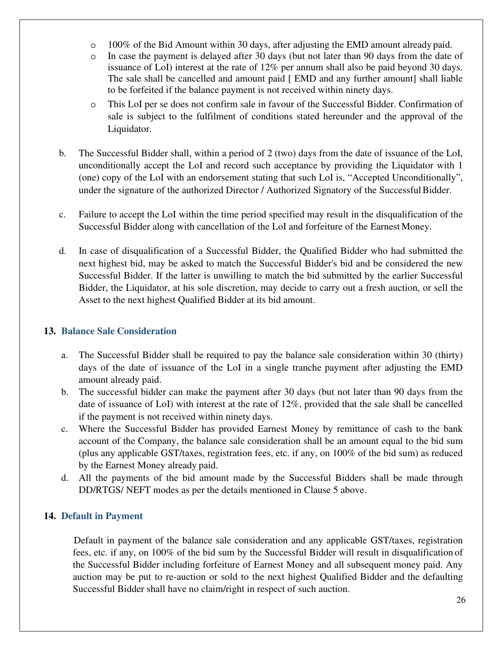- $\circ$  100% of the Bid Amount within 30 days, after adjusting the EMD amount already paid.
- o In case the payment is delayed after 30 days (but not later than 90 days from the date of issuance of LoI) interest at the rate of 12% per annum shall also be paid beyond 30 days. The sale shall be cancelled and amount paid [ EMD and any further amount] shall liable to be forfeited if the balance payment is not received within ninety days.
- o This LoI per se does not confirm sale in favour of the Successful Bidder. Confirmation of sale is subject to the fulfilment of conditions stated hereunder and the approval of the Liquidator.
- b. The Successful Bidder shall, within a period of 2 (two) days from the date of issuance of the LoI, unconditionally accept the LoI and record such acceptance by providing the Liquidator with 1 (one) copy of the LoI with an endorsement stating that such LoI is, "Accepted Unconditionally", under the signature of the authorized Director / Authorized Signatory of the Successful Bidder.
- c. Failure to accept the LoI within the time period specified may result in the disqualification of the Successful Bidder along with cancellation of the LoI and forfeiture of the Earnest Money.
- d. In case of disqualification of a Successful Bidder, the Qualified Bidder who had submitted the next highest bid, may be asked to match the Successful Bidder's bid and be considered the new Successful Bidder. If the latter is unwilling to match the bid submitted by the earlier Successful Bidder, the Liquidator, at his sole discretion, may decide to carry out a fresh auction, or sell the Asset to the next highest Qualified Bidder at its bid amount.

### **13. Balance Sale Consideration**

- a. The Successful Bidder shall be required to pay the balance sale consideration within 30 (thirty) days of the date of issuance of the LoI in a single tranche payment after adjusting the EMD amount already paid.
- b. The successful bidder can make the payment after 30 days (but not later than 90 days from the date of issuance of LoI) with interest at the rate of 12%, provided that the sale shall be cancelled if the payment is not received within ninety days.
- c. Where the Successful Bidder has provided Earnest Money by remittance of cash to the bank account of the Company, the balance sale consideration shall be an amount equal to the bid sum (plus any applicable GST/taxes, registration fees, etc. if any, on 100% of the bid sum) as reduced by the Earnest Money already paid.
- d. All the payments of the bid amount made by the Successful Bidders shall be made through DD/RTGS/ NEFT modes as per the details mentioned in Clause 5 above.

## **14. Default in Payment**

Default in payment of the balance sale consideration and any applicable GST/taxes, registration fees, etc. if any, on 100% of the bid sum by the Successful Bidder will result in disqualification of the Successful Bidder including forfeiture of Earnest Money and all subsequent money paid. Any auction may be put to re-auction or sold to the next highest Qualified Bidder and the defaulting Successful Bidder shall have no claim/right in respect of such auction.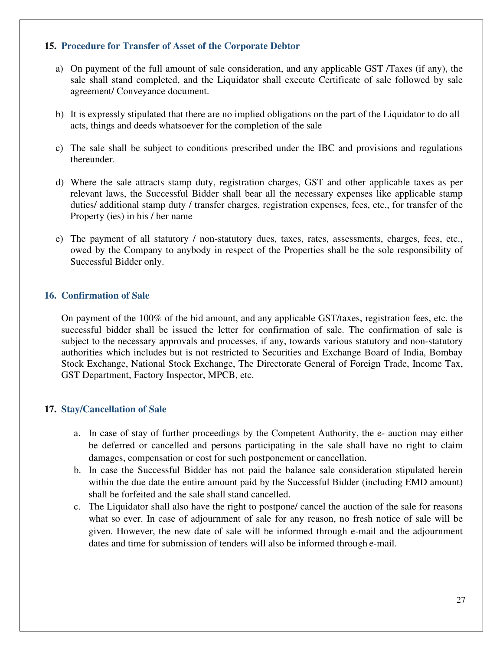#### **15. Procedure for Transfer of Asset of the Corporate Debtor**

- a) On payment of the full amount of sale consideration, and any applicable GST /Taxes (if any), the sale shall stand completed, and the Liquidator shall execute Certificate of sale followed by sale agreement/ Conveyance document.
- b) It is expressly stipulated that there are no implied obligations on the part of the Liquidator to do all acts, things and deeds whatsoever for the completion of the sale
- c) The sale shall be subject to conditions prescribed under the IBC and provisions and regulations thereunder.
- d) Where the sale attracts stamp duty, registration charges, GST and other applicable taxes as per relevant laws, the Successful Bidder shall bear all the necessary expenses like applicable stamp duties/ additional stamp duty / transfer charges, registration expenses, fees, etc., for transfer of the Property (ies) in his / her name
- e) The payment of all statutory / non-statutory dues, taxes, rates, assessments, charges, fees, etc., owed by the Company to anybody in respect of the Properties shall be the sole responsibility of Successful Bidder only.

#### **16. Confirmation of Sale**

On payment of the 100% of the bid amount, and any applicable GST/taxes, registration fees, etc. the successful bidder shall be issued the letter for confirmation of sale. The confirmation of sale is subject to the necessary approvals and processes, if any, towards various statutory and non-statutory authorities which includes but is not restricted to Securities and Exchange Board of India, Bombay Stock Exchange, National Stock Exchange, The Directorate General of Foreign Trade, Income Tax, GST Department, Factory Inspector, MPCB, etc.

### **17. Stay/Cancellation of Sale**

- a. In case of stay of further proceedings by the Competent Authority, the e- auction may either be deferred or cancelled and persons participating in the sale shall have no right to claim damages, compensation or cost for such postponement or cancellation.
- b. In case the Successful Bidder has not paid the balance sale consideration stipulated herein within the due date the entire amount paid by the Successful Bidder (including EMD amount) shall be forfeited and the sale shall stand cancelled.
- c. The Liquidator shall also have the right to postpone/ cancel the auction of the sale for reasons what so ever. In case of adjournment of sale for any reason, no fresh notice of sale will be given. However, the new date of sale will be informed through e-mail and the adjournment dates and time for submission of tenders will also be informed through e-mail.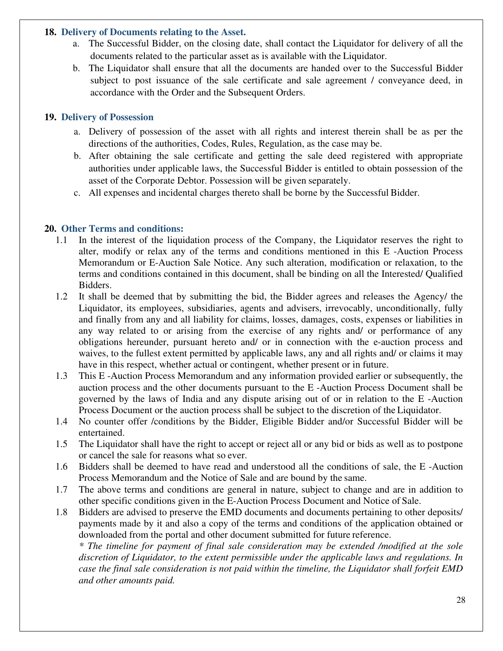#### **18. Delivery of Documents relating to the Asset.**

- a. The Successful Bidder, on the closing date, shall contact the Liquidator for delivery of all the documents related to the particular asset as is available with the Liquidator.
- b. The Liquidator shall ensure that all the documents are handed over to the Successful Bidder subject to post issuance of the sale certificate and sale agreement / conveyance deed, in accordance with the Order and the Subsequent Orders.

#### **19. Delivery of Possession**

- a. Delivery of possession of the asset with all rights and interest therein shall be as per the directions of the authorities, Codes, Rules, Regulation, as the case may be.
- b. After obtaining the sale certificate and getting the sale deed registered with appropriate authorities under applicable laws, the Successful Bidder is entitled to obtain possession of the asset of the Corporate Debtor. Possession will be given separately.
- c. All expenses and incidental charges thereto shall be borne by the Successful Bidder.

#### **20. Other Terms and conditions:**

- 1.1 In the interest of the liquidation process of the Company, the Liquidator reserves the right to alter, modify or relax any of the terms and conditions mentioned in this E -Auction Process Memorandum or E-Auction Sale Notice. Any such alteration, modification or relaxation, to the terms and conditions contained in this document, shall be binding on all the Interested/ Qualified Bidders.
- 1.2 It shall be deemed that by submitting the bid, the Bidder agrees and releases the Agency/ the Liquidator, its employees, subsidiaries, agents and advisers, irrevocably, unconditionally, fully and finally from any and all liability for claims, losses, damages, costs, expenses or liabilities in any way related to or arising from the exercise of any rights and/ or performance of any obligations hereunder, pursuant hereto and/ or in connection with the e-auction process and waives, to the fullest extent permitted by applicable laws, any and all rights and/ or claims it may have in this respect, whether actual or contingent, whether present or in future.
- 1.3 This E -Auction Process Memorandum and any information provided earlier or subsequently, the auction process and the other documents pursuant to the E -Auction Process Document shall be governed by the laws of India and any dispute arising out of or in relation to the E -Auction Process Document or the auction process shall be subject to the discretion of the Liquidator.
- 1.4 No counter offer /conditions by the Bidder, Eligible Bidder and/or Successful Bidder will be entertained.
- 1.5 The Liquidator shall have the right to accept or reject all or any bid or bids as well as to postpone or cancel the sale for reasons what so ever.
- 1.6 Bidders shall be deemed to have read and understood all the conditions of sale, the E -Auction Process Memorandum and the Notice of Sale and are bound by the same.
- 1.7 The above terms and conditions are general in nature, subject to change and are in addition to other specific conditions given in the E-Auction Process Document and Notice of Sale.
- 1.8 Bidders are advised to preserve the EMD documents and documents pertaining to other deposits/ payments made by it and also a copy of the terms and conditions of the application obtained or downloaded from the portal and other document submitted for future reference.

*\* The timeline for payment of final sale consideration may be extended /modified at the sole discretion of Liquidator, to the extent permissible under the applicable laws and regulations. In case the final sale consideration is not paid within the timeline, the Liquidator shall forfeit EMD and other amounts paid.*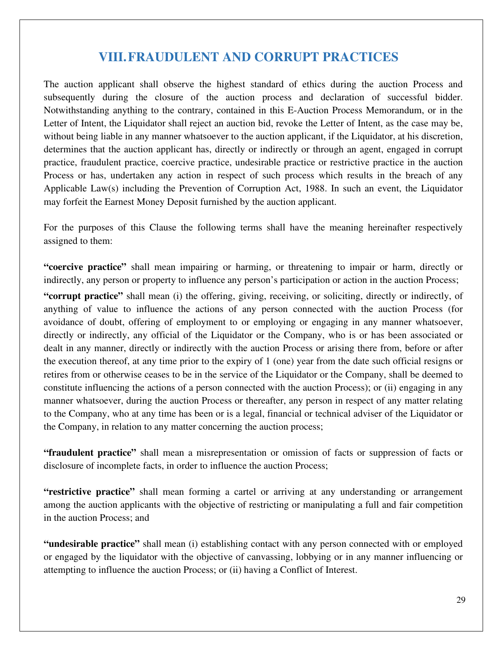## **VIII.FRAUDULENT AND CORRUPT PRACTICES**

The auction applicant shall observe the highest standard of ethics during the auction Process and subsequently during the closure of the auction process and declaration of successful bidder. Notwithstanding anything to the contrary, contained in this E-Auction Process Memorandum, or in the Letter of Intent, the Liquidator shall reject an auction bid, revoke the Letter of Intent, as the case may be, without being liable in any manner whatsoever to the auction applicant, if the Liquidator, at his discretion, determines that the auction applicant has, directly or indirectly or through an agent, engaged in corrupt practice, fraudulent practice, coercive practice, undesirable practice or restrictive practice in the auction Process or has, undertaken any action in respect of such process which results in the breach of any Applicable Law(s) including the Prevention of Corruption Act, 1988. In such an event, the Liquidator may forfeit the Earnest Money Deposit furnished by the auction applicant.

For the purposes of this Clause the following terms shall have the meaning hereinafter respectively assigned to them:

**"coercive practice"** shall mean impairing or harming, or threatening to impair or harm, directly or indirectly, any person or property to influence any person's participation or action in the auction Process;

**"corrupt practice"** shall mean (i) the offering, giving, receiving, or soliciting, directly or indirectly, of anything of value to influence the actions of any person connected with the auction Process (for avoidance of doubt, offering of employment to or employing or engaging in any manner whatsoever, directly or indirectly, any official of the Liquidator or the Company, who is or has been associated or dealt in any manner, directly or indirectly with the auction Process or arising there from, before or after the execution thereof, at any time prior to the expiry of 1 (one) year from the date such official resigns or retires from or otherwise ceases to be in the service of the Liquidator or the Company, shall be deemed to constitute influencing the actions of a person connected with the auction Process); or (ii) engaging in any manner whatsoever, during the auction Process or thereafter, any person in respect of any matter relating to the Company, who at any time has been or is a legal, financial or technical adviser of the Liquidator or the Company, in relation to any matter concerning the auction process;

**"fraudulent practice"** shall mean a misrepresentation or omission of facts or suppression of facts or disclosure of incomplete facts, in order to influence the auction Process;

**"restrictive practice"** shall mean forming a cartel or arriving at any understanding or arrangement among the auction applicants with the objective of restricting or manipulating a full and fair competition in the auction Process; and

**"undesirable practice"** shall mean (i) establishing contact with any person connected with or employed or engaged by the liquidator with the objective of canvassing, lobbying or in any manner influencing or attempting to influence the auction Process; or (ii) having a Conflict of Interest.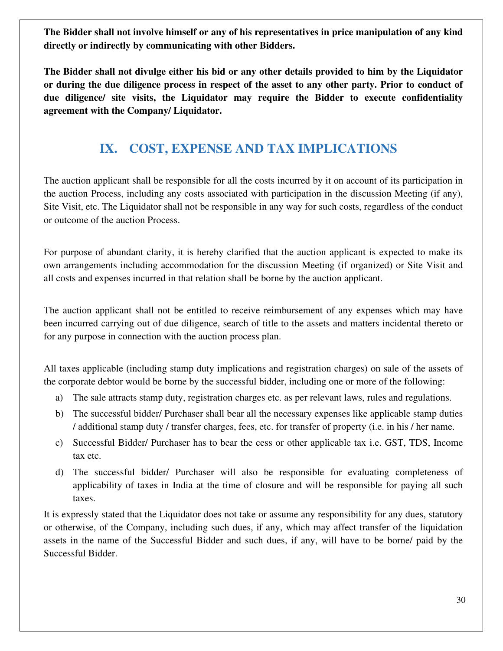**The Bidder shall not involve himself or any of his representatives in price manipulation of any kind directly or indirectly by communicating with other Bidders.** 

**The Bidder shall not divulge either his bid or any other details provided to him by the Liquidator or during the due diligence process in respect of the asset to any other party. Prior to conduct of due diligence/ site visits, the Liquidator may require the Bidder to execute confidentiality agreement with the Company/ Liquidator.** 

## **IX. COST, EXPENSE AND TAX IMPLICATIONS**

The auction applicant shall be responsible for all the costs incurred by it on account of its participation in the auction Process, including any costs associated with participation in the discussion Meeting (if any), Site Visit, etc. The Liquidator shall not be responsible in any way for such costs, regardless of the conduct or outcome of the auction Process.

For purpose of abundant clarity, it is hereby clarified that the auction applicant is expected to make its own arrangements including accommodation for the discussion Meeting (if organized) or Site Visit and all costs and expenses incurred in that relation shall be borne by the auction applicant.

The auction applicant shall not be entitled to receive reimbursement of any expenses which may have been incurred carrying out of due diligence, search of title to the assets and matters incidental thereto or for any purpose in connection with the auction process plan.

All taxes applicable (including stamp duty implications and registration charges) on sale of the assets of the corporate debtor would be borne by the successful bidder, including one or more of the following:

- a) The sale attracts stamp duty, registration charges etc. as per relevant laws, rules and regulations.
- b) The successful bidder/ Purchaser shall bear all the necessary expenses like applicable stamp duties / additional stamp duty / transfer charges, fees, etc. for transfer of property (i.e. in his / her name.
- c) Successful Bidder/ Purchaser has to bear the cess or other applicable tax i.e. GST, TDS, Income tax etc.
- d) The successful bidder/ Purchaser will also be responsible for evaluating completeness of applicability of taxes in India at the time of closure and will be responsible for paying all such taxes.

It is expressly stated that the Liquidator does not take or assume any responsibility for any dues, statutory or otherwise, of the Company, including such dues, if any, which may affect transfer of the liquidation assets in the name of the Successful Bidder and such dues, if any, will have to be borne/ paid by the Successful Bidder.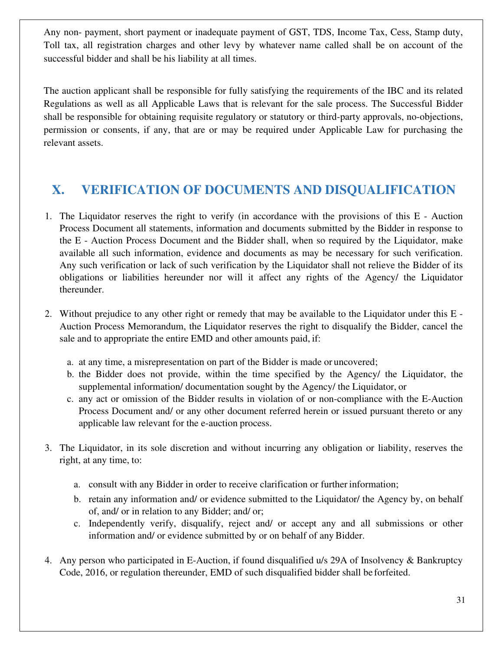Any non- payment, short payment or inadequate payment of GST, TDS, Income Tax, Cess, Stamp duty, Toll tax, all registration charges and other levy by whatever name called shall be on account of the successful bidder and shall be his liability at all times.

The auction applicant shall be responsible for fully satisfying the requirements of the IBC and its related Regulations as well as all Applicable Laws that is relevant for the sale process. The Successful Bidder shall be responsible for obtaining requisite regulatory or statutory or third-party approvals, no-objections, permission or consents, if any, that are or may be required under Applicable Law for purchasing the relevant assets.

## **X. VERIFICATION OF DOCUMENTS AND DISQUALIFICATION**

- 1. The Liquidator reserves the right to verify (in accordance with the provisions of this E Auction Process Document all statements, information and documents submitted by the Bidder in response to the E - Auction Process Document and the Bidder shall, when so required by the Liquidator, make available all such information, evidence and documents as may be necessary for such verification. Any such verification or lack of such verification by the Liquidator shall not relieve the Bidder of its obligations or liabilities hereunder nor will it affect any rights of the Agency/ the Liquidator thereunder.
- 2. Without prejudice to any other right or remedy that may be available to the Liquidator under this E Auction Process Memorandum, the Liquidator reserves the right to disqualify the Bidder, cancel the sale and to appropriate the entire EMD and other amounts paid, if:
	- a. at any time, a misrepresentation on part of the Bidder is made or uncovered;
	- b. the Bidder does not provide, within the time specified by the Agency/ the Liquidator, the supplemental information/ documentation sought by the Agency/ the Liquidator, or
	- c. any act or omission of the Bidder results in violation of or non-compliance with the E-Auction Process Document and/ or any other document referred herein or issued pursuant thereto or any applicable law relevant for the e-auction process.
- 3. The Liquidator, in its sole discretion and without incurring any obligation or liability, reserves the right, at any time, to:
	- a. consult with any Bidder in order to receive clarification or further information;
	- b. retain any information and/ or evidence submitted to the Liquidator/ the Agency by, on behalf of, and/ or in relation to any Bidder; and/ or;
	- c. Independently verify, disqualify, reject and/ or accept any and all submissions or other information and/ or evidence submitted by or on behalf of any Bidder.
- 4. Any person who participated in E-Auction, if found disqualified u/s 29A of Insolvency & Bankruptcy Code, 2016, or regulation thereunder, EMD of such disqualified bidder shall be forfeited.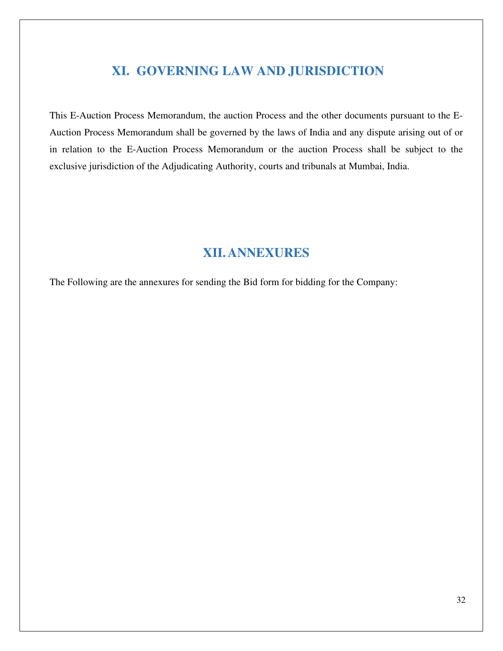## **XI. GOVERNING LAW AND JURISDICTION**

This E-Auction Process Memorandum, the auction Process and the other documents pursuant to the E-Auction Process Memorandum shall be governed by the laws of India and any dispute arising out of or in relation to the E-Auction Process Memorandum or the auction Process shall be subject to the exclusive jurisdiction of the Adjudicating Authority, courts and tribunals at Mumbai, India.

## **XII.ANNEXURES**

The Following are the annexures for sending the Bid form for bidding for the Company: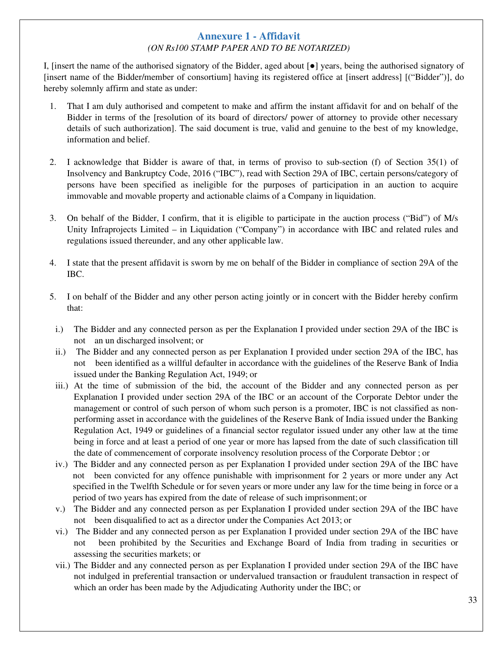#### **Annexure 1 - Affidavit** *(ON Rs100 STAMP PAPER AND TO BE NOTARIZED)*

I, [insert the name of the authorised signatory of the Bidder, aged about [●] years, being the authorised signatory of [insert name of the Bidder/member of consortium] having its registered office at [insert address] [("Bidder")], do hereby solemnly affirm and state as under:

- 1. That I am duly authorised and competent to make and affirm the instant affidavit for and on behalf of the Bidder in terms of the [resolution of its board of directors/ power of attorney to provide other necessary details of such authorization]. The said document is true, valid and genuine to the best of my knowledge, information and belief.
- 2. I acknowledge that Bidder is aware of that, in terms of proviso to sub-section (f) of Section 35(1) of Insolvency and Bankruptcy Code, 2016 ("IBC"), read with Section 29A of IBC, certain persons/category of persons have been specified as ineligible for the purposes of participation in an auction to acquire immovable and movable property and actionable claims of a Company in liquidation.
- 3. On behalf of the Bidder, I confirm, that it is eligible to participate in the auction process ("Bid") of M/s Unity Infraprojects Limited – in Liquidation ("Company") in accordance with IBC and related rules and regulations issued thereunder, and any other applicable law.
- 4. I state that the present affidavit is sworn by me on behalf of the Bidder in compliance of section 29A of the IBC.
- 5. I on behalf of the Bidder and any other person acting jointly or in concert with the Bidder hereby confirm that:
	- i.) The Bidder and any connected person as per the Explanation I provided under section 29A of the IBC is not an un discharged insolvent; or
	- ii.) The Bidder and any connected person as per Explanation I provided under section 29A of the IBC, has not been identified as a willful defaulter in accordance with the guidelines of the Reserve Bank of India issued under the Banking Regulation Act, 1949; or
	- iii.) At the time of submission of the bid, the account of the Bidder and any connected person as per Explanation I provided under section 29A of the IBC or an account of the Corporate Debtor under the management or control of such person of whom such person is a promoter, IBC is not classified as nonperforming asset in accordance with the guidelines of the Reserve Bank of India issued under the Banking Regulation Act, 1949 or guidelines of a financial sector regulator issued under any other law at the time being in force and at least a period of one year or more has lapsed from the date of such classification till the date of commencement of corporate insolvency resolution process of the Corporate Debtor ; or
	- iv.) The Bidder and any connected person as per Explanation I provided under section 29A of the IBC have not been convicted for any offence punishable with imprisonment for 2 years or more under any Act specified in the Twelfth Schedule or for seven years or more under any law for the time being in force or a period of two years has expired from the date of release of such imprisonment; or
	- v.) The Bidder and any connected person as per Explanation I provided under section 29A of the IBC have not been disqualified to act as a director under the Companies Act 2013; or
	- vi.) The Bidder and any connected person as per Explanation I provided under section 29A of the IBC have not been prohibited by the Securities and Exchange Board of India from trading in securities or assessing the securities markets; or
	- vii.) The Bidder and any connected person as per Explanation I provided under section 29A of the IBC have not indulged in preferential transaction or undervalued transaction or fraudulent transaction in respect of which an order has been made by the Adjudicating Authority under the IBC; or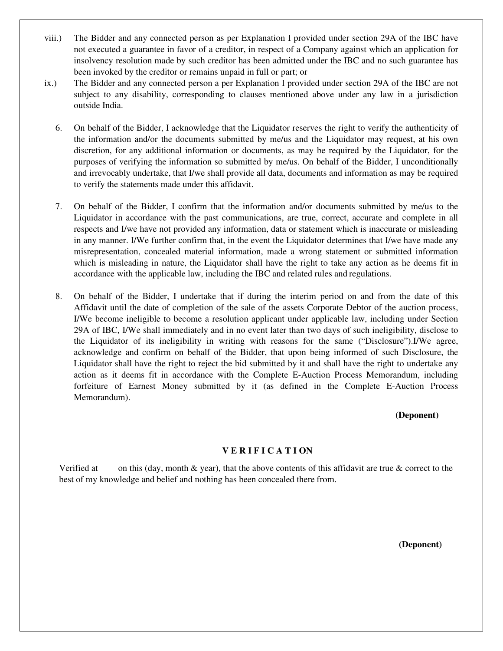- viii.) The Bidder and any connected person as per Explanation I provided under section 29A of the IBC have not executed a guarantee in favor of a creditor, in respect of a Company against which an application for insolvency resolution made by such creditor has been admitted under the IBC and no such guarantee has been invoked by the creditor or remains unpaid in full or part; or
- ix.) The Bidder and any connected person a per Explanation I provided under section 29A of the IBC are not subject to any disability, corresponding to clauses mentioned above under any law in a jurisdiction outside India.
	- 6. On behalf of the Bidder, I acknowledge that the Liquidator reserves the right to verify the authenticity of the information and/or the documents submitted by me/us and the Liquidator may request, at his own discretion, for any additional information or documents, as may be required by the Liquidator, for the purposes of verifying the information so submitted by me/us. On behalf of the Bidder, I unconditionally and irrevocably undertake, that I/we shall provide all data, documents and information as may be required to verify the statements made under this affidavit.
	- 7. On behalf of the Bidder, I confirm that the information and/or documents submitted by me/us to the Liquidator in accordance with the past communications, are true, correct, accurate and complete in all respects and I/we have not provided any information, data or statement which is inaccurate or misleading in any manner. I/We further confirm that, in the event the Liquidator determines that I/we have made any misrepresentation, concealed material information, made a wrong statement or submitted information which is misleading in nature, the Liquidator shall have the right to take any action as he deems fit in accordance with the applicable law, including the IBC and related rules and regulations.
	- 8. On behalf of the Bidder, I undertake that if during the interim period on and from the date of this Affidavit until the date of completion of the sale of the assets Corporate Debtor of the auction process, I/We become ineligible to become a resolution applicant under applicable law, including under Section 29A of IBC, I/We shall immediately and in no event later than two days of such ineligibility, disclose to the Liquidator of its ineligibility in writing with reasons for the same ("Disclosure").I/We agree, acknowledge and confirm on behalf of the Bidder, that upon being informed of such Disclosure, the Liquidator shall have the right to reject the bid submitted by it and shall have the right to undertake any action as it deems fit in accordance with the Complete E-Auction Process Memorandum, including forfeiture of Earnest Money submitted by it (as defined in the Complete E-Auction Process Memorandum).

#### **(Deponent)**

#### **V E R I F I C A T I ON**

Verified at on this (day, month  $\&$  year), that the above contents of this affidavit are true  $\&$  correct to the best of my knowledge and belief and nothing has been concealed there from.

**(Deponent)**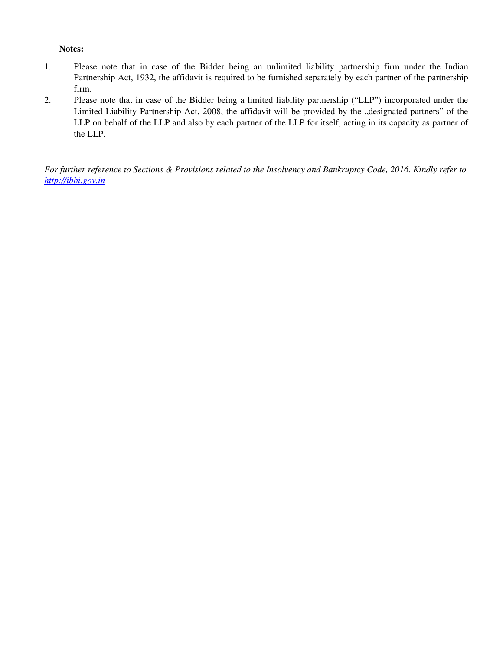#### **Notes:**

- 1. Please note that in case of the Bidder being an unlimited liability partnership firm under the Indian Partnership Act, 1932, the affidavit is required to be furnished separately by each partner of the partnership firm.
- 2. Please note that in case of the Bidder being a limited liability partnership ("LLP") incorporated under the Limited Liability Partnership Act, 2008, the affidavit will be provided by the "designated partners" of the LLP on behalf of the LLP and also by each partner of the LLP for itself, acting in its capacity as partner of the LLP.

*For further reference to Sections & Provisions related to the Insolvency and Bankruptcy Code, 2016. Kindly refer to http://ibbi.gov.in*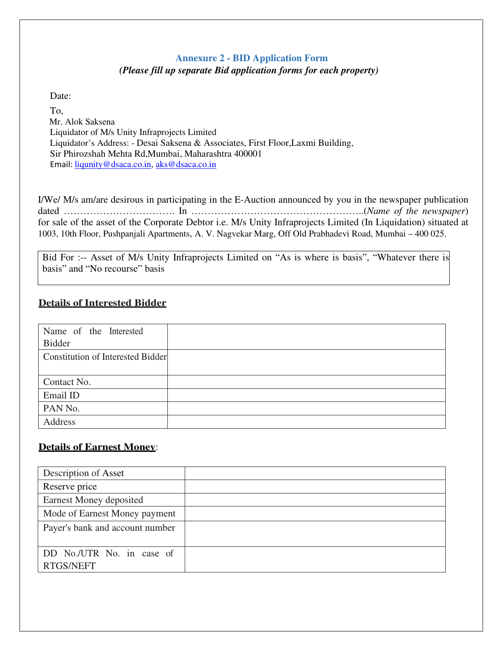## **Annexure 2 - BID Application Form** *(Please fill up separate Bid application forms for each property)*

Date:

To, Mr. Alok Saksena Liquidator of M/s Unity Infraprojects Limited Liquidator's Address: - Desai Saksena & Associates, First Floor,Laxmi Building, Sir Phirozshah Mehta Rd,Mumbai, Maharashtra 400001 Email: liqunity@dsaca.co.in, aks@dsaca.co.in

I/We/ M/s am/are desirous in participating in the E-Auction announced by you in the newspaper publication dated ……………………………. In ……………………………………………..(*Name of the newspaper*) for sale of the asset of the Corporate Debtor i.e. M/s Unity Infraprojects Limited (In Liquidation) situated at 1003, 10th Floor, Pushpanjali Apartments, A. V. Nagvekar Marg, Off Old Prabhadevi Road, Mumbai – 400 025.

Bid For :-- Asset of M/s Unity Infraprojects Limited on "As is where is basis", "Whatever there is basis" and "No recourse" basis

## **Details of Interested Bidder**

| Name of the Interested                   |  |
|------------------------------------------|--|
| <b>Bidder</b>                            |  |
| <b>Constitution of Interested Bidder</b> |  |
|                                          |  |
| Contact No.                              |  |
| Email ID                                 |  |
| PAN No.                                  |  |
| Address                                  |  |

## **Details of Earnest Money**:

| Description of Asset                   |  |
|----------------------------------------|--|
| Reserve price                          |  |
| Earnest Money deposited                |  |
| Mode of Earnest Money payment          |  |
| Payer's bank and account number        |  |
| DD No./UTR No. in case of<br>RTGS/NEFT |  |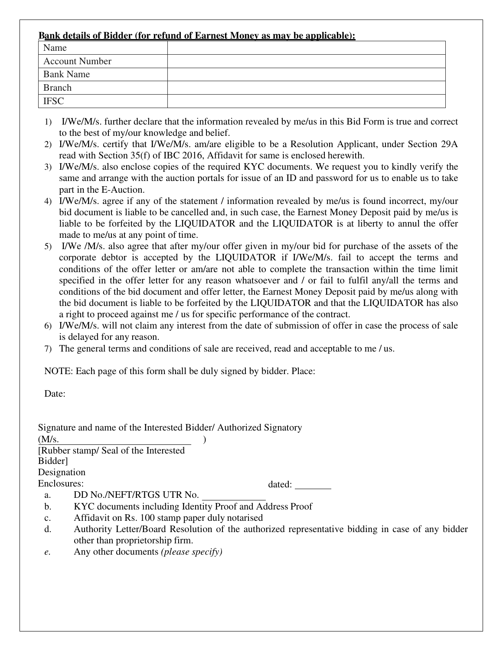### **Bank details of Bidder (for refund of Earnest Money as may be applicable):**

| Name                  |  |
|-----------------------|--|
| <b>Account Number</b> |  |
| <b>Bank Name</b>      |  |
| <b>Branch</b>         |  |
| <b>IFSC</b>           |  |

- 1) I/We/M/s. further declare that the information revealed by me/us in this Bid Form is true and correct to the best of my/our knowledge and belief.
- 2) I/We/M/s. certify that I/We/M/s. am/are eligible to be a Resolution Applicant, under Section 29A read with Section 35(f) of IBC 2016, Affidavit for same is enclosed herewith.
- 3) I/We/M/s. also enclose copies of the required KYC documents. We request you to kindly verify the same and arrange with the auction portals for issue of an ID and password for us to enable us to take part in the E-Auction.
- 4) I/We/M/s. agree if any of the statement / information revealed by me/us is found incorrect, my/our bid document is liable to be cancelled and, in such case, the Earnest Money Deposit paid by me/us is liable to be forfeited by the LIQUIDATOR and the LIQUIDATOR is at liberty to annul the offer made to me/us at any point of time.
- 5) I/We /M/s. also agree that after my/our offer given in my/our bid for purchase of the assets of the corporate debtor is accepted by the LIQUIDATOR if I/We/M/s. fail to accept the terms and conditions of the offer letter or am/are not able to complete the transaction within the time limit specified in the offer letter for any reason whatsoever and / or fail to fulfil any/all the terms and conditions of the bid document and offer letter, the Earnest Money Deposit paid by me/us along with the bid document is liable to be forfeited by the LIQUIDATOR and that the LIQUIDATOR has also a right to proceed against me / us for specific performance of the contract.
- 6) I/We/M/s. will not claim any interest from the date of submission of offer in case the process of sale is delayed for any reason.
- 7) The general terms and conditions of sale are received, read and acceptable to me / us.

NOTE: Each page of this form shall be duly signed by bidder. Place:

Date:

|                | Signature and name of the Interested Bidder/ Authorized Signatory                                |
|----------------|--------------------------------------------------------------------------------------------------|
| (M/s.          |                                                                                                  |
|                | [Rubber stamp/ Seal of the Interested]                                                           |
| Bidder]        |                                                                                                  |
| Designation    |                                                                                                  |
| Enclosures:    | dated:                                                                                           |
| a.             | DD No./NEFT/RTGS UTR No.                                                                         |
| b.             | KYC documents including Identity Proof and Address Proof                                         |
| $\mathbf{c}$ . | Affidavit on Rs. 100 stamp paper duly notarised                                                  |
| d.             | Authority Letter/Board Resolution of the authorized representative bidding in case of any bidder |
|                | other than proprietorship firm.                                                                  |

*e.* Any other documents *(please specify)*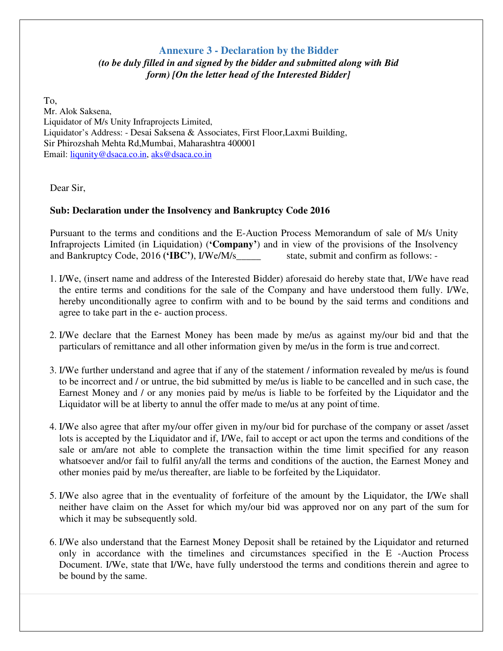### **Annexure 3 - Declaration by the Bidder**  *(to be duly filled in and signed by the bidder and submitted along with Bid form) [On the letter head of the Interested Bidder]*

To, Mr. Alok Saksena, Liquidator of M/s Unity Infraprojects Limited, Liquidator's Address: - Desai Saksena & Associates, First Floor,Laxmi Building, Sir Phirozshah Mehta Rd,Mumbai, Maharashtra 400001 Email: liqunity@dsaca.co.in, aks@dsaca.co.in

Dear Sir,

### **Sub: Declaration under the Insolvency and Bankruptcy Code 2016**

Pursuant to the terms and conditions and the E-Auction Process Memorandum of sale of M/s Unity Infraprojects Limited (in Liquidation) (**'Company'**) and in view of the provisions of the Insolvency and Bankruptcy Code, 2016 **('IBC')**, I/We/M/s\_\_\_\_\_ state, submit and confirm as follows: -

- 1. I/We, (insert name and address of the Interested Bidder) aforesaid do hereby state that, I/We have read the entire terms and conditions for the sale of the Company and have understood them fully. I/We, hereby unconditionally agree to confirm with and to be bound by the said terms and conditions and agree to take part in the e- auction process.
- 2. I/We declare that the Earnest Money has been made by me/us as against my/our bid and that the particulars of remittance and all other information given by me/us in the form is true and correct.
- 3. I/We further understand and agree that if any of the statement / information revealed by me/us is found to be incorrect and / or untrue, the bid submitted by me/us is liable to be cancelled and in such case, the Earnest Money and / or any monies paid by me/us is liable to be forfeited by the Liquidator and the Liquidator will be at liberty to annul the offer made to me/us at any point of time.
- 4. I/We also agree that after my/our offer given in my/our bid for purchase of the company or asset /asset lots is accepted by the Liquidator and if, I/We, fail to accept or act upon the terms and conditions of the sale or am/are not able to complete the transaction within the time limit specified for any reason whatsoever and/or fail to fulfil any/all the terms and conditions of the auction, the Earnest Money and other monies paid by me/us thereafter, are liable to be forfeited by the Liquidator.
- 5. I/We also agree that in the eventuality of forfeiture of the amount by the Liquidator, the I/We shall neither have claim on the Asset for which my/our bid was approved nor on any part of the sum for which it may be subsequently sold.
- 6. I/We also understand that the Earnest Money Deposit shall be retained by the Liquidator and returned only in accordance with the timelines and circumstances specified in the E -Auction Process Document. I/We, state that I/We, have fully understood the terms and conditions therein and agree to be bound by the same.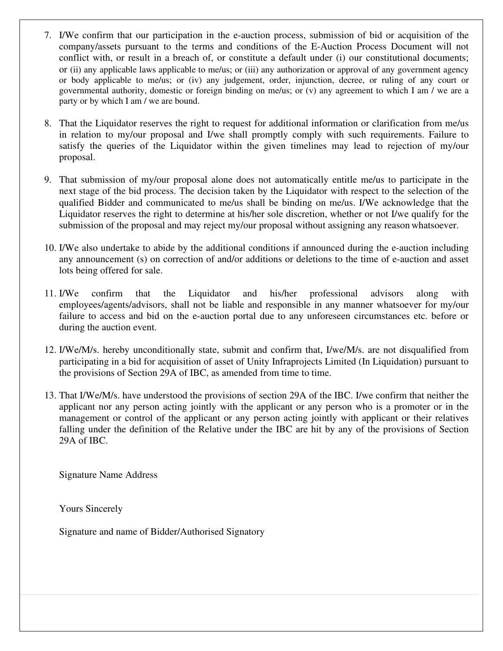- 7. I/We confirm that our participation in the e-auction process, submission of bid or acquisition of the company/assets pursuant to the terms and conditions of the E-Auction Process Document will not conflict with, or result in a breach of, or constitute a default under (i) our constitutional documents; or (ii) any applicable laws applicable to me/us; or (iii) any authorization or approval of any government agency or body applicable to me/us; or (iv) any judgement, order, injunction, decree, or ruling of any court or governmental authority, domestic or foreign binding on me/us; or (v) any agreement to which I am / we are a party or by which I am / we are bound.
- 8. That the Liquidator reserves the right to request for additional information or clarification from me/us in relation to my/our proposal and I/we shall promptly comply with such requirements. Failure to satisfy the queries of the Liquidator within the given timelines may lead to rejection of my/our proposal.
- 9. That submission of my/our proposal alone does not automatically entitle me/us to participate in the next stage of the bid process. The decision taken by the Liquidator with respect to the selection of the qualified Bidder and communicated to me/us shall be binding on me/us. I/We acknowledge that the Liquidator reserves the right to determine at his/her sole discretion, whether or not I/we qualify for the submission of the proposal and may reject my/our proposal without assigning any reason whatsoever.
- 10. I/We also undertake to abide by the additional conditions if announced during the e-auction including any announcement (s) on correction of and/or additions or deletions to the time of e-auction and asset lots being offered for sale.
- 11. I/We confirm that the Liquidator and his/her professional advisors along with employees/agents/advisors, shall not be liable and responsible in any manner whatsoever for my/our failure to access and bid on the e-auction portal due to any unforeseen circumstances etc. before or during the auction event.
- 12. I/We/M/s. hereby unconditionally state, submit and confirm that, I/we/M/s. are not disqualified from participating in a bid for acquisition of asset of Unity Infraprojects Limited (In Liquidation) pursuant to the provisions of Section 29A of IBC, as amended from time to time.
- 13. That I/We/M/s. have understood the provisions of section 29A of the IBC. I/we confirm that neither the applicant nor any person acting jointly with the applicant or any person who is a promoter or in the management or control of the applicant or any person acting jointly with applicant or their relatives falling under the definition of the Relative under the IBC are hit by any of the provisions of Section 29A of IBC.

Signature Name Address

Yours Sincerely

Signature and name of Bidder/Authorised Signatory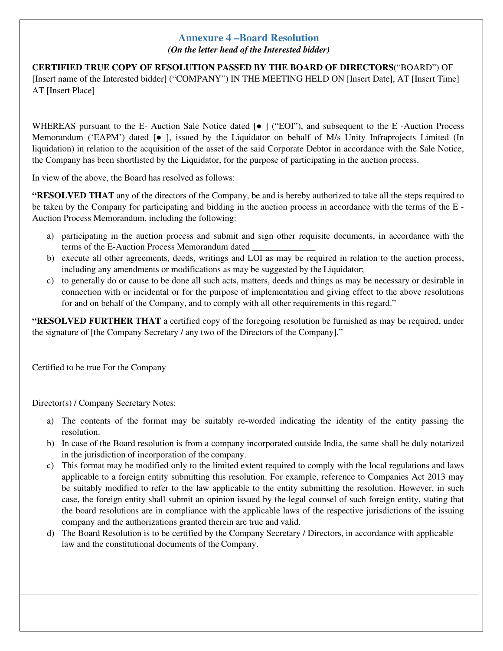### **Annexure 4 –Board Resolution**

*(On the letter head of the Interested bidder)* 

**CERTIFIED TRUE COPY OF RESOLUTION PASSED BY THE BOARD OF DIRECTORS**("BOARD") OF [Insert name of the Interested bidder] ("COMPANY") IN THE MEETING HELD ON [Insert Date], AT [Insert Time] AT [Insert Place]

WHEREAS pursuant to the E- Auction Sale Notice dated [ $\bullet$  ] ("EOI"), and subsequent to the E-Auction Process Memorandum ('EAPM') dated [● ], issued by the Liquidator on behalf of M/s Unity Infraprojects Limited (In liquidation) in relation to the acquisition of the asset of the said Corporate Debtor in accordance with the Sale Notice, the Company has been shortlisted by the Liquidator, for the purpose of participating in the auction process.

In view of the above, the Board has resolved as follows:

**"RESOLVED THAT** any of the directors of the Company, be and is hereby authorized to take all the steps required to be taken by the Company for participating and bidding in the auction process in accordance with the terms of the E - Auction Process Memorandum, including the following:

- a) participating in the auction process and submit and sign other requisite documents, in accordance with the terms of the E-Auction Process Memorandum dated
- b) execute all other agreements, deeds, writings and LOI as may be required in relation to the auction process, including any amendments or modifications as may be suggested by the Liquidator;
- c) to generally do or cause to be done all such acts, matters, deeds and things as may be necessary or desirable in connection with or incidental or for the purpose of implementation and giving effect to the above resolutions for and on behalf of the Company, and to comply with all other requirements in this regard."

**"RESOLVED FURTHER THAT** a certified copy of the foregoing resolution be furnished as may be required, under the signature of [the Company Secretary / any two of the Directors of the Company]."

Certified to be true For the Company

Director(s) / Company Secretary Notes:

- a) The contents of the format may be suitably re-worded indicating the identity of the entity passing the resolution.
- b) In case of the Board resolution is from a company incorporated outside India, the same shall be duly notarized in the jurisdiction of incorporation of the company.
- c) This format may be modified only to the limited extent required to comply with the local regulations and laws applicable to a foreign entity submitting this resolution. For example, reference to Companies Act 2013 may be suitably modified to refer to the law applicable to the entity submitting the resolution. However, in such case, the foreign entity shall submit an opinion issued by the legal counsel of such foreign entity, stating that the board resolutions are in compliance with the applicable laws of the respective jurisdictions of the issuing company and the authorizations granted therein are true and valid.
- d) The Board Resolution is to be certified by the Company Secretary / Directors, in accordance with applicable law and the constitutional documents of the Company.